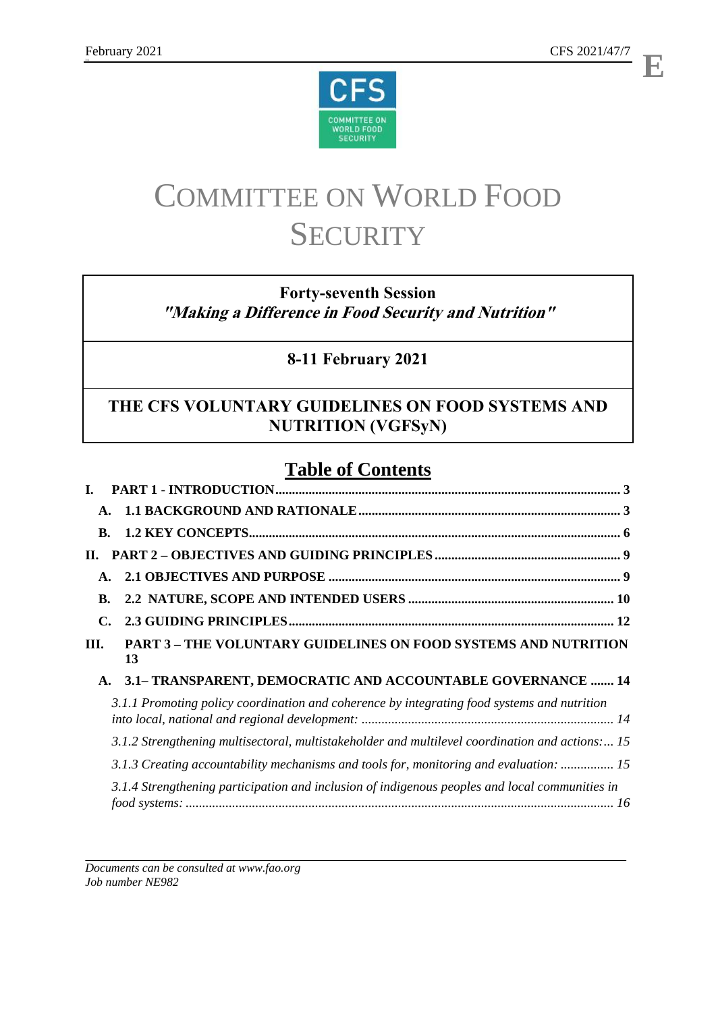**E**



# COMMITTEE ON WORLD FOOD **SECURITY**

# **Forty-seventh Session "Making a Difference in Food Security and Nutrition"**

# **8-11 February 2021**

# **THE CFS VOLUNTARY GUIDELINES ON FOOD SYSTEMS AND NUTRITION (VGFSyN)**

# **Table of Contents**

| $\mathbf{A}$ . |                                                                                                 |
|----------------|-------------------------------------------------------------------------------------------------|
| <b>B.</b>      |                                                                                                 |
| П.             |                                                                                                 |
| $\mathbf{A}$ . |                                                                                                 |
| <b>B.</b>      |                                                                                                 |
| $\mathbf{C}$   |                                                                                                 |
| Ш.             | <b>PART 3-THE VOLUNTARY GUIDELINES ON FOOD SYSTEMS AND NUTRITION</b>                            |
|                | 13                                                                                              |
| A.             | 3.1- TRANSPARENT, DEMOCRATIC AND ACCOUNTABLE GOVERNANCE  14                                     |
|                | 3.1.1 Promoting policy coordination and coherence by integrating food systems and nutrition     |
|                | 3.1.2 Strengthening multisectoral, multistakeholder and multilevel coordination and actions: 15 |
|                | 3.1.3 Creating accountability mechanisms and tools for, monitoring and evaluation:  15          |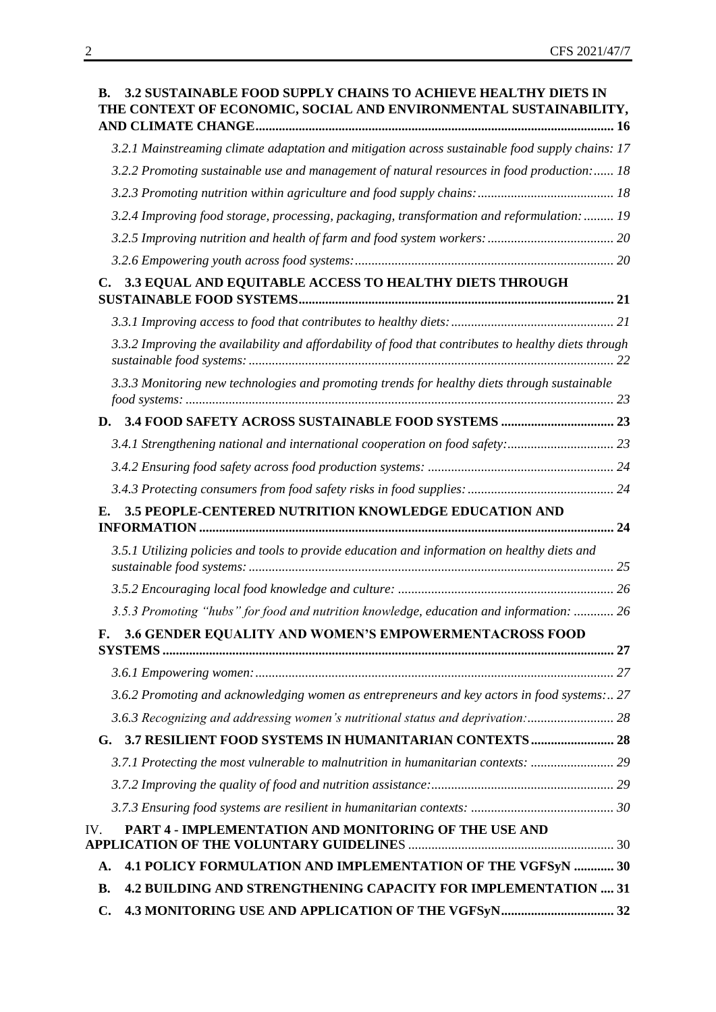| <b>3.2 SUSTAINABLE FOOD SUPPLY CHAINS TO ACHIEVE HEALTHY DIETS IN</b><br>B.<br>THE CONTEXT OF ECONOMIC, SOCIAL AND ENVIRONMENTAL SUSTAINABILITY, |  |
|--------------------------------------------------------------------------------------------------------------------------------------------------|--|
| 3.2.1 Mainstreaming climate adaptation and mitigation across sustainable food supply chains: 17                                                  |  |
| 3.2.2 Promoting sustainable use and management of natural resources in food production: 18                                                       |  |
|                                                                                                                                                  |  |
| 3.2.4 Improving food storage, processing, packaging, transformation and reformulation:  19                                                       |  |
|                                                                                                                                                  |  |
|                                                                                                                                                  |  |
| C. 3.3 EQUAL AND EQUITABLE ACCESS TO HEALTHY DIETS THROUGH                                                                                       |  |
|                                                                                                                                                  |  |
| 3.3.2 Improving the availability and affordability of food that contributes to healthy diets through                                             |  |
| 3.3.3 Monitoring new technologies and promoting trends for healthy diets through sustainable<br>food systems: 123                                |  |
| D.                                                                                                                                               |  |
|                                                                                                                                                  |  |
|                                                                                                                                                  |  |
|                                                                                                                                                  |  |
| 3.5 PEOPLE-CENTERED NUTRITION KNOWLEDGE EDUCATION AND<br>E.                                                                                      |  |
| 3.5.1 Utilizing policies and tools to provide education and information on healthy diets and                                                     |  |
|                                                                                                                                                  |  |
| 3.5.3 Promoting "hubs" for food and nutrition knowledge, education and information:  26                                                          |  |
| 3.6 GENDER EQUALITY AND WOMEN'S EMPOWERMENTACROSS FOOD<br>F.                                                                                     |  |
|                                                                                                                                                  |  |
|                                                                                                                                                  |  |
| 3.6.2 Promoting and acknowledging women as entrepreneurs and key actors in food systems: 27                                                      |  |
| 3.6.3 Recognizing and addressing women's nutritional status and deprivation: 28                                                                  |  |
| G. 3.7 RESILIENT FOOD SYSTEMS IN HUMANITARIAN CONTEXTS 28                                                                                        |  |
| 3.7.1 Protecting the most vulnerable to malnutrition in humanitarian contexts:                                                                   |  |
|                                                                                                                                                  |  |
| PART 4 - IMPLEMENTATION AND MONITORING OF THE USE AND                                                                                            |  |
| IV.                                                                                                                                              |  |
| 4.1 POLICY FORMULATION AND IMPLEMENTATION OF THE VGFSyN  30<br>A.                                                                                |  |
| 4.2 BUILDING AND STRENGTHENING CAPACITY FOR IMPLEMENTATION  31<br>В.                                                                             |  |
| $\mathbf{C}$ .                                                                                                                                   |  |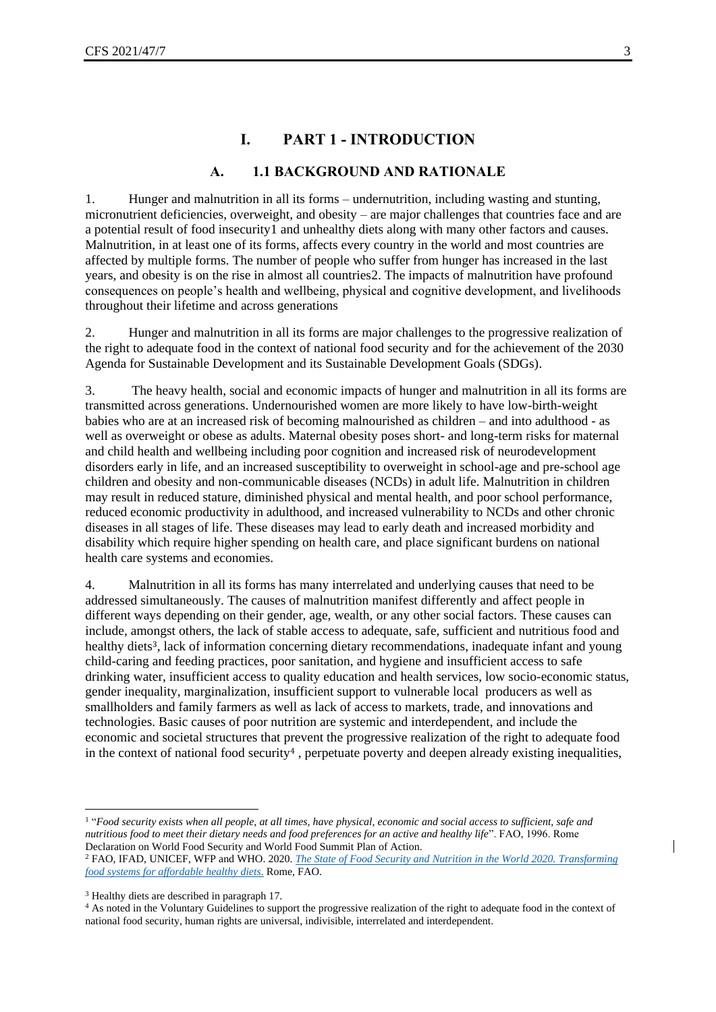#### **A. 1.1 BACKGROUND AND RATIONALE**

<span id="page-2-1"></span><span id="page-2-0"></span>1. Hunger and malnutrition in all its forms – undernutrition, including wasting and stunting, micronutrient deficiencies, overweight, and obesity – are major challenges that countries face and are a potential result of food insecurity1 and unhealthy diets along with many other factors and causes. Malnutrition, in at least one of its forms, affects every country in the world and most countries are affected by multiple forms. The number of people who suffer from hunger has increased in the last years, and obesity is on the rise in almost all countries2. The impacts of malnutrition have profound consequences on people's health and wellbeing, physical and cognitive development, and livelihoods throughout their lifetime and across generations

2. Hunger and malnutrition in all its forms are major challenges to the progressive realization of the right to adequate food in the context of national food security and for the achievement of the 2030 Agenda for Sustainable Development and its Sustainable Development Goals (SDGs).

3. The heavy health, social and economic impacts of hunger and malnutrition in all its forms are transmitted across generations. Undernourished women are more likely to have low-birth-weight babies who are at an increased risk of becoming malnourished as children – and into adulthood - as well as overweight or obese as adults. Maternal obesity poses short- and long-term risks for maternal and child health and wellbeing including poor cognition and increased risk of neurodevelopment disorders early in life, and an increased susceptibility to overweight in school-age and pre-school age children and obesity and non-communicable diseases (NCDs) in adult life. Malnutrition in children may result in reduced stature, diminished physical and mental health, and poor school performance, reduced economic productivity in adulthood, and increased vulnerability to NCDs and other chronic diseases in all stages of life. These diseases may lead to early death and increased morbidity and disability which require higher spending on health care, and place significant burdens on national health care systems and economies.

4. Malnutrition in all its forms has many interrelated and underlying causes that need to be addressed simultaneously. The causes of malnutrition manifest differently and affect people in different ways depending on their gender, age, wealth, or any other social factors. These causes can include, amongst others, the lack of stable access to adequate, safe, sufficient and nutritious food and healthy diets<sup>3</sup>, lack of information concerning dietary recommendations, inadequate infant and young child-caring and feeding practices, poor sanitation, and hygiene and insufficient access to safe drinking water, insufficient access to quality education and health services, low socio-economic status, gender inequality, marginalization, insufficient support to vulnerable local producers as well as smallholders and family farmers as well as lack of access to markets, trade, and innovations and technologies. Basic causes of poor nutrition are systemic and interdependent, and include the economic and societal structures that prevent the progressive realization of the right to adequate food in the context of national food security<sup>4</sup>, perpetuate poverty and deepen already existing inequalities,

<sup>&</sup>lt;sup>1</sup> "Food security exists when all people, at all times, have physical, economic and social access to sufficient, safe and *nutritious food to meet their dietary needs and food preferences for an active and healthy life*". FAO, 1996. Rome Declaration on World Food Security and World Food Summit Plan of Action.

<sup>2</sup> FAO, IFAD, UNICEF, WFP and WHO. 2020. *[The State of Food Security and Nutrition in the World 2020.](http://www.fao.org/3/ca9692en/CA9692EN.pdf) Transforming [food systems for affordable healthy diets](http://www.fao.org/3/ca9692en/CA9692EN.pdf)*. Rome, FAO.

<sup>3</sup> Healthy diets are described in paragraph 17.

<sup>&</sup>lt;sup>4</sup> As noted in the Voluntary Guidelines to support the progressive realization of the right to adequate food in the context of national food security, human rights are universal, indivisible, interrelated and interdependent.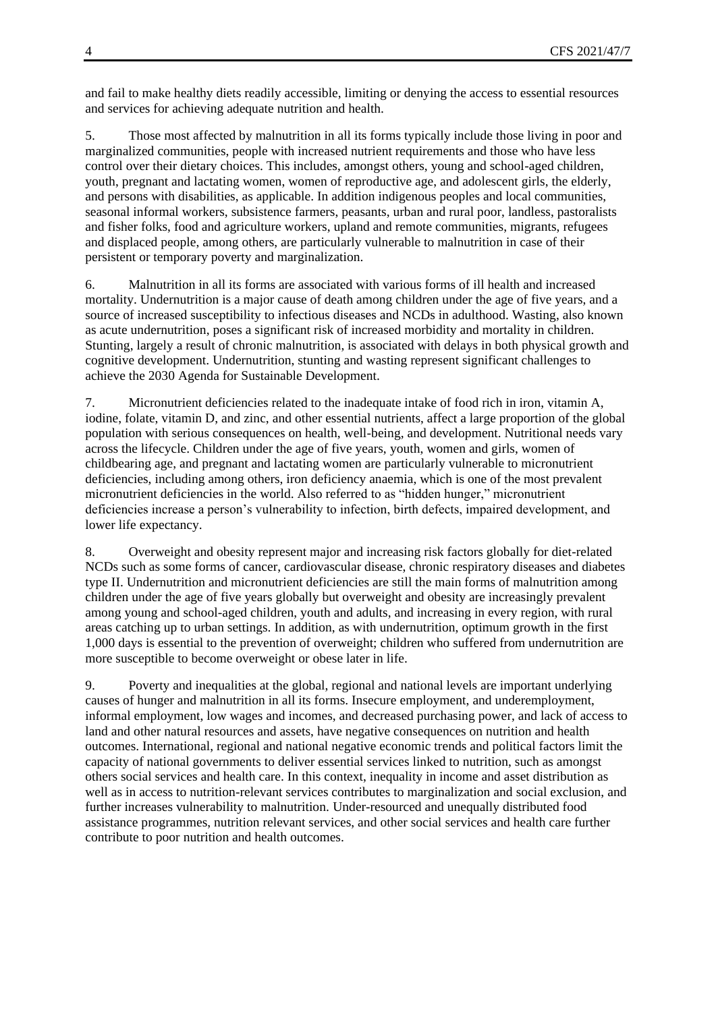and fail to make healthy diets readily accessible, limiting or denying the access to essential resources and services for achieving adequate nutrition and health.

5. Those most affected by malnutrition in all its forms typically include those living in poor and marginalized communities, people with increased nutrient requirements and those who have less control over their dietary choices. This includes, amongst others, young and school-aged children, youth, pregnant and lactating women, women of reproductive age, and adolescent girls, the elderly, and persons with disabilities, as applicable. In addition indigenous peoples and local communities, seasonal informal workers, subsistence farmers, peasants, urban and rural poor, landless, pastoralists and fisher folks, food and agriculture workers, upland and remote communities, migrants, refugees and displaced people, among others, are particularly vulnerable to malnutrition in case of their persistent or temporary poverty and marginalization.

6. Malnutrition in all its forms are associated with various forms of ill health and increased mortality. Undernutrition is a major cause of death among children under the age of five years, and a source of increased susceptibility to infectious diseases and NCDs in adulthood. Wasting, also known as acute undernutrition, poses a significant risk of increased morbidity and mortality in children. Stunting, largely a result of chronic malnutrition, is associated with delays in both physical growth and cognitive development. Undernutrition, stunting and wasting represent significant challenges to achieve the 2030 Agenda for Sustainable Development.

7. Micronutrient deficiencies related to the inadequate intake of food rich in iron, vitamin A, iodine, folate, vitamin D, and zinc, and other essential nutrients, affect a large proportion of the global population with serious consequences on health, well-being, and development. Nutritional needs vary across the lifecycle. Children under the age of five years, youth, women and girls, women of childbearing age, and pregnant and lactating women are particularly vulnerable to micronutrient deficiencies, including among others, iron deficiency anaemia, which is one of the most prevalent micronutrient deficiencies in the world. Also referred to as "hidden hunger," micronutrient deficiencies increase a person's vulnerability to infection, birth defects, impaired development, and lower life expectancy.

8. Overweight and obesity represent major and increasing risk factors globally for diet-related NCDs such as some forms of cancer, cardiovascular disease, chronic respiratory diseases and diabetes type II. Undernutrition and micronutrient deficiencies are still the main forms of malnutrition among children under the age of five years globally but overweight and obesity are increasingly prevalent among young and school-aged children, youth and adults, and increasing in every region, with rural areas catching up to urban settings. In addition, as with undernutrition, optimum growth in the first 1,000 days is essential to the prevention of overweight; children who suffered from undernutrition are more susceptible to become overweight or obese later in life.

9. Poverty and inequalities at the global, regional and national levels are important underlying causes of hunger and malnutrition in all its forms. Insecure employment, and underemployment, informal employment, low wages and incomes, and decreased purchasing power, and lack of access to land and other natural resources and assets, have negative consequences on nutrition and health outcomes. International, regional and national negative economic trends and political factors limit the capacity of national governments to deliver essential services linked to nutrition, such as amongst others social services and health care. In this context, inequality in income and asset distribution as well as in access to nutrition-relevant services contributes to marginalization and social exclusion, and further increases vulnerability to malnutrition. Under-resourced and unequally distributed food assistance programmes, nutrition relevant services, and other social services and health care further contribute to poor nutrition and health outcomes.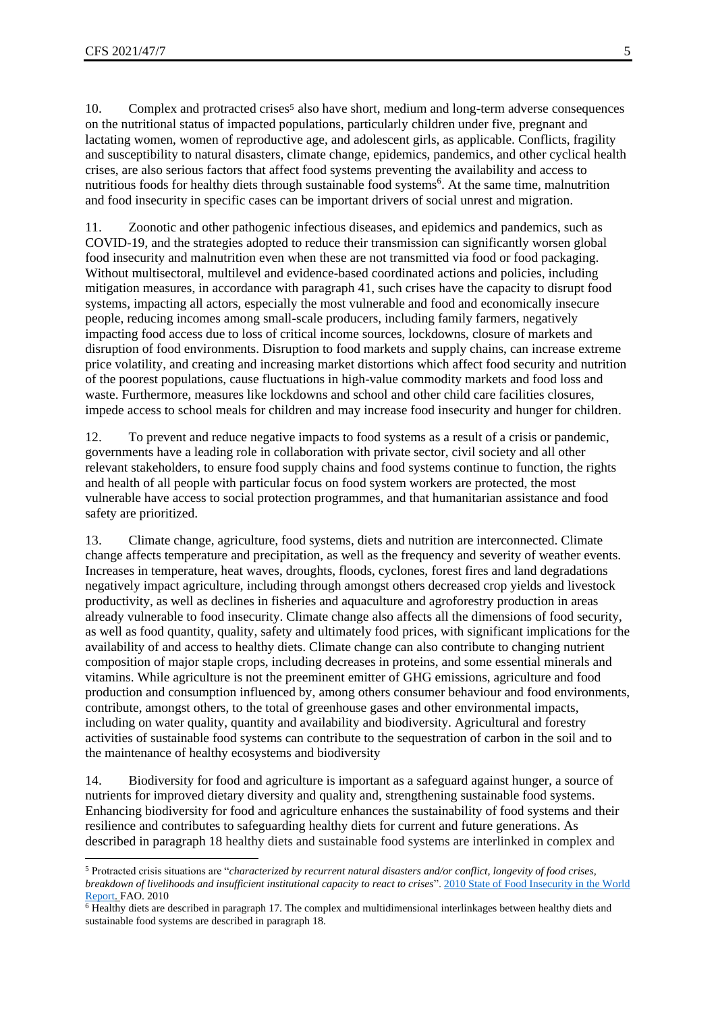10. Complex and protracted crises<sup>5</sup> also have short, medium and long-term adverse consequences on the nutritional status of impacted populations, particularly children under five, pregnant and lactating women, women of reproductive age, and adolescent girls, as applicable. Conflicts, fragility and susceptibility to natural disasters, climate change, epidemics, pandemics, and other cyclical health crises, are also serious factors that affect food systems preventing the availability and access to nutritious foods for healthy diets through sustainable food systems<sup>6</sup>. At the same time, malnutrition and food insecurity in specific cases can be important drivers of social unrest and migration.

11. Zoonotic and other pathogenic infectious diseases, and epidemics and pandemics, such as COVID-19, and the strategies adopted to reduce their transmission can significantly worsen global food insecurity and malnutrition even when these are not transmitted via food or food packaging. Without multisectoral, multilevel and evidence-based coordinated actions and policies, including mitigation measures, in accordance with paragraph 41, such crises have the capacity to disrupt food systems, impacting all actors, especially the most vulnerable and food and economically insecure people, reducing incomes among small-scale producers, including family farmers, negatively impacting food access due to loss of critical income sources, lockdowns, closure of markets and disruption of food environments. Disruption to food markets and supply chains, can increase extreme price volatility, and creating and increasing market distortions which affect food security and nutrition of the poorest populations, cause fluctuations in high-value commodity markets and food loss and waste. Furthermore, measures like lockdowns and school and other child care facilities closures, impede access to school meals for children and may increase food insecurity and hunger for children.

12. To prevent and reduce negative impacts to food systems as a result of a crisis or pandemic, governments have a leading role in collaboration with private sector, civil society and all other relevant stakeholders, to ensure food supply chains and food systems continue to function, the rights and health of all people with particular focus on food system workers are protected, the most vulnerable have access to social protection programmes, and that humanitarian assistance and food safety are prioritized.

13. Climate change, agriculture, food systems, diets and nutrition are interconnected. Climate change affects temperature and precipitation, as well as the frequency and severity of weather events. Increases in temperature, heat waves, droughts, floods, cyclones, forest fires and land degradations negatively impact agriculture, including through amongst others decreased crop yields and livestock productivity, as well as declines in fisheries and aquaculture and agroforestry production in areas already vulnerable to food insecurity. Climate change also affects all the dimensions of food security, as well as food quantity, quality, safety and ultimately food prices, with significant implications for the availability of and access to healthy diets. Climate change can also contribute to changing nutrient composition of major staple crops, including decreases in proteins, and some essential minerals and vitamins. While agriculture is not the preeminent emitter of GHG emissions, agriculture and food production and consumption influenced by, among others consumer behaviour and food environments, contribute, amongst others, to the total of greenhouse gases and other environmental impacts, including on water quality, quantity and availability and biodiversity. Agricultural and forestry activities of sustainable food systems can contribute to the sequestration of carbon in the soil and to the maintenance of healthy ecosystems and biodiversity

14. Biodiversity for food and agriculture is important as a safeguard against hunger, a source of nutrients for improved dietary diversity and quality and, strengthening sustainable food systems. Enhancing biodiversity for food and agriculture enhances the sustainability of food systems and their resilience and contributes to safeguarding healthy diets for current and future generations. As described in paragraph 18 healthy diets and sustainable food systems are interlinked in complex and

<sup>5</sup> Protracted crisis situations are "*characterized by recurrent natural disasters and/or conflict, longevity of food crises, breakdown of livelihoods and insufficient institutional capacity to react to crises*"[. 2010 State of Food Insecurity in the World](http://www.fao.org/3/a-i1683e.pdf)  [Report.](http://www.fao.org/3/a-i1683e.pdf) FAO. 2010

<sup>6</sup> Healthy diets are described in paragraph 17. The complex and multidimensional interlinkages between healthy diets and sustainable food systems are described in paragraph 18.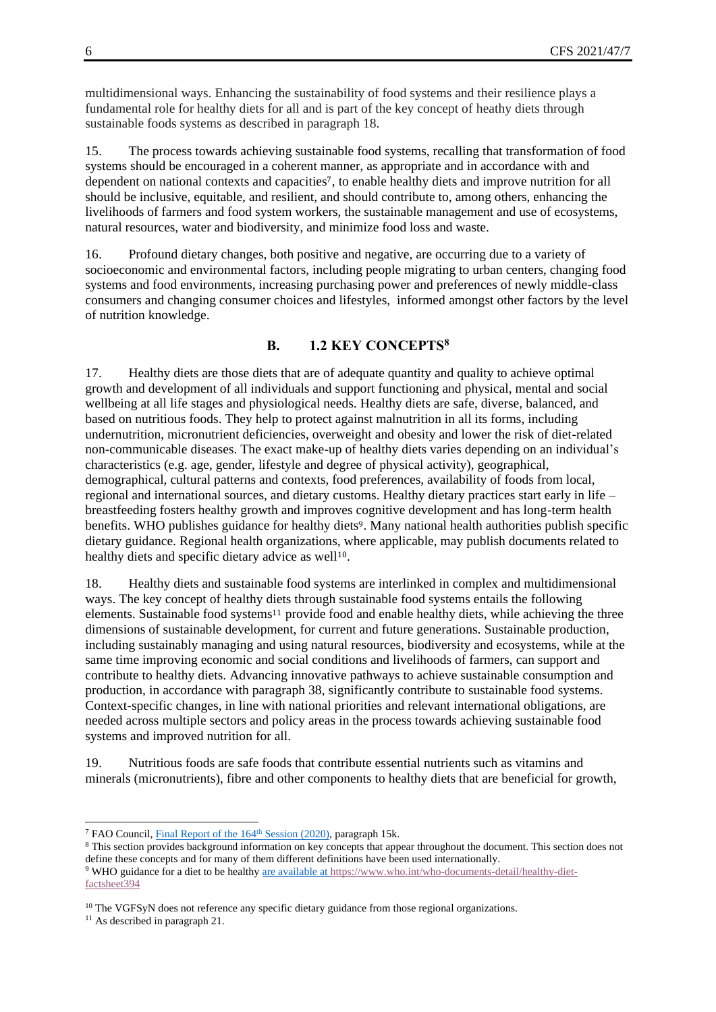multidimensional ways. Enhancing the sustainability of food systems and their resilience plays a fundamental role for healthy diets for all and is part of the key concept of heathy diets through sustainable foods systems as described in paragraph 18.

15. The process towards achieving sustainable food systems, recalling that transformation of food systems should be encouraged in a coherent manner, as appropriate and in accordance with and dependent on national contexts and capacities7, to enable healthy diets and improve nutrition for all should be inclusive, equitable, and resilient, and should contribute to, among others, enhancing the livelihoods of farmers and food system workers, the sustainable management and use of ecosystems, natural resources, water and biodiversity, and minimize food loss and waste.

16. Profound dietary changes, both positive and negative, are occurring due to a variety of socioeconomic and environmental factors, including people migrating to urban centers, changing food systems and food environments, increasing purchasing power and preferences of newly middle-class consumers and changing consumer choices and lifestyles, informed amongst other factors by the level of nutrition knowledge.

#### **B. 1.2 KEY CONCEPTS<sup>8</sup>**

<span id="page-5-0"></span>17. Healthy diets are those diets that are of adequate quantity and quality to achieve optimal growth and development of all individuals and support functioning and physical, mental and social wellbeing at all life stages and physiological needs. Healthy diets are safe, diverse, balanced, and based on nutritious foods. They help to protect against malnutrition in all its forms, including undernutrition, micronutrient deficiencies, overweight and obesity and lower the risk of diet-related non-communicable diseases. The exact make-up of healthy diets varies depending on an individual's characteristics (e.g. age, gender, lifestyle and degree of physical activity), geographical, demographical, cultural patterns and contexts, food preferences, availability of foods from local, regional and international sources, and dietary customs. Healthy dietary practices start early in life – breastfeeding fosters healthy growth and improves cognitive development and has long-term health benefits. WHO publishes guidance for healthy diets9. Many national health authorities publish specific dietary guidance. Regional health organizations, where applicable, may publish documents related to healthy diets and specific dietary advice as well<sup>10</sup>.

18. Healthy diets and sustainable food systems are interlinked in complex and multidimensional ways. The key concept of healthy diets through sustainable food systems entails the following elements. Sustainable food systems<sup>11</sup> provide food and enable healthy diets, while achieving the three dimensions of sustainable development, for current and future generations. Sustainable production, including sustainably managing and using natural resources, biodiversity and ecosystems, while at the same time improving economic and social conditions and livelihoods of farmers, can support and contribute to healthy diets. Advancing innovative pathways to achieve sustainable consumption and production, in accordance with paragraph 38, significantly contribute to sustainable food systems. Context-specific changes, in line with national priorities and relevant international obligations, are needed across multiple sectors and policy areas in the process towards achieving sustainable food systems and improved nutrition for all.

19. Nutritious foods are safe foods that contribute essential nutrients such as vitamins and minerals (micronutrients), fibre and other components to healthy diets that are beneficial for growth,

<sup>&</sup>lt;sup>7</sup> FAO Council, *Final Report of the 164<sup>th</sup> Session (2020)*, paragraph 15k.

<sup>8</sup> This section provides background information on key concepts that appear throughout the document. This section does not define these concepts and for many of them different definitions have been used internationally. <sup>9</sup> WHO guidance for a diet to be healthy are available at [https://www.who.int/who-documents-detail/healthy-diet](https://www.who.int/who-documents-detail/healthy-diet-factsheet394)[factsheet394](https://www.who.int/who-documents-detail/healthy-diet-factsheet394)

<sup>&</sup>lt;sup>10</sup> The VGFSyN does not reference any specific dietary guidance from those regional organizations.

<sup>&</sup>lt;sup>11</sup> As described in paragraph 21.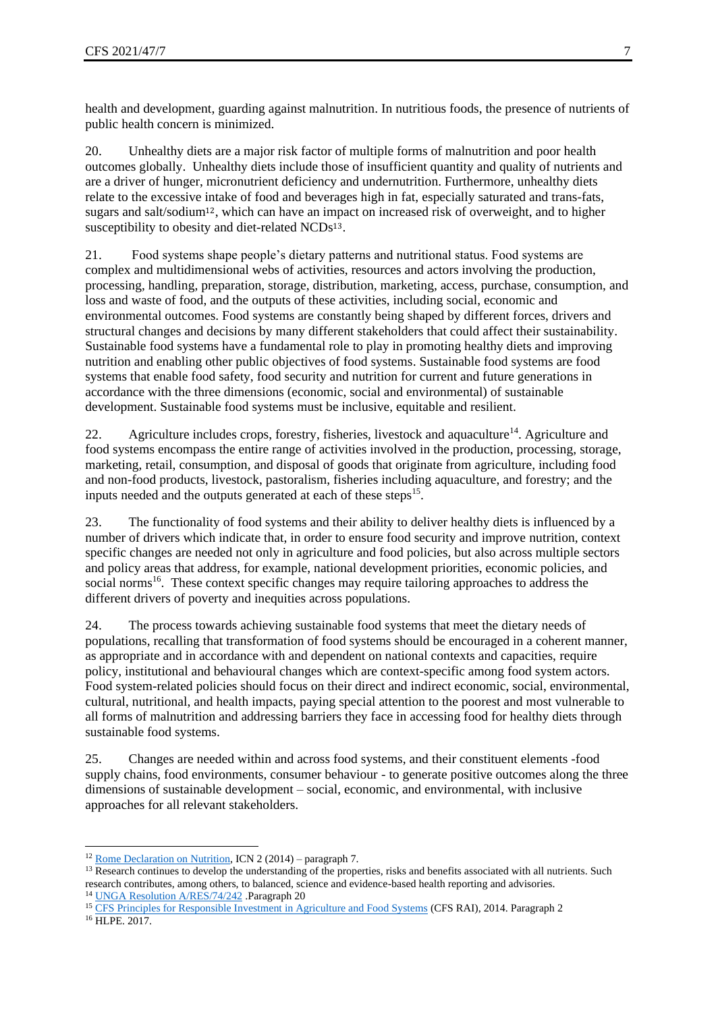health and development, guarding against malnutrition. In nutritious foods, the presence of nutrients of public health concern is minimized.

20. Unhealthy diets are a major risk factor of multiple forms of malnutrition and poor health outcomes globally. Unhealthy diets include those of insufficient quantity and quality of nutrients and are a driver of hunger, micronutrient deficiency and undernutrition. Furthermore, unhealthy diets relate to the excessive intake of food and beverages high in fat, especially saturated and trans-fats, sugars and salt/sodium12, which can have an impact on increased risk of overweight, and to higher susceptibility to obesity and diet-related NCDs<sup>13</sup>.

21. Food systems shape people's dietary patterns and nutritional status. Food systems are complex and multidimensional webs of activities, resources and actors involving the production, processing, handling, preparation, storage, distribution, marketing, access, purchase, consumption, and loss and waste of food, and the outputs of these activities, including social, economic and environmental outcomes. Food systems are constantly being shaped by different forces, drivers and structural changes and decisions by many different stakeholders that could affect their sustainability. Sustainable food systems have a fundamental role to play in promoting healthy diets and improving nutrition and enabling other public objectives of food systems. Sustainable food systems are food systems that enable food safety, food security and nutrition for current and future generations in accordance with the three dimensions (economic, social and environmental) of sustainable development. Sustainable food systems must be inclusive, equitable and resilient.

22. Agriculture includes crops, forestry, fisheries, livestock and aquaculture<sup>14</sup>. Agriculture and food systems encompass the entire range of activities involved in the production, processing, storage, marketing, retail, consumption, and disposal of goods that originate from agriculture, including food and non-food products, livestock, pastoralism, fisheries including aquaculture, and forestry; and the inputs needed and the outputs generated at each of these steps<sup>15</sup>.

23. The functionality of food systems and their ability to deliver healthy diets is influenced by a number of drivers which indicate that, in order to ensure food security and improve nutrition, context specific changes are needed not only in agriculture and food policies, but also across multiple sectors and policy areas that address, for example, national development priorities, economic policies, and social norms<sup>16</sup>. These context specific changes may require tailoring approaches to address the different drivers of poverty and inequities across populations.

24. The process towards achieving sustainable food systems that meet the dietary needs of populations, recalling that transformation of food systems should be encouraged in a coherent manner, as appropriate and in accordance with and dependent on national contexts and capacities, require policy, institutional and behavioural changes which are context-specific among food system actors. Food system-related policies should focus on their direct and indirect economic, social, environmental, cultural, nutritional, and health impacts, paying special attention to the poorest and most vulnerable to all forms of malnutrition and addressing barriers they face in accessing food for healthy diets through sustainable food systems.

25. Changes are needed within and across food systems, and their constituent elements -food supply chains, food environments, consumer behaviour - to generate positive outcomes along the three dimensions of sustainable development – social, economic, and environmental, with inclusive approaches for all relevant stakeholders.

<sup>&</sup>lt;sup>12</sup> [Rome Declaration on Nutrition,](http://www.fao.org/3/a-ml542e.pdf) ICN 2 (2014) – paragraph 7.

<sup>&</sup>lt;sup>13</sup> Research continues to develop the understanding of the properties, risks and benefits associated with all nutrients. Such research contributes, among others, to balanced, science and evidence-based health reporting and advisories. <sup>14</sup> [UNGA Resolution A/RES/74/242](https://undocs.org/en/A/RES/74/242) .Paragraph 20

<sup>&</sup>lt;sup>15</sup> [CFS Principles for Responsible Investment in Agriculture and Food Systems](http://www.fao.org/3/a-au866e.pdf) (CFS RAI), 2014. Paragraph 2 <sup>16</sup> HLPE. 2017.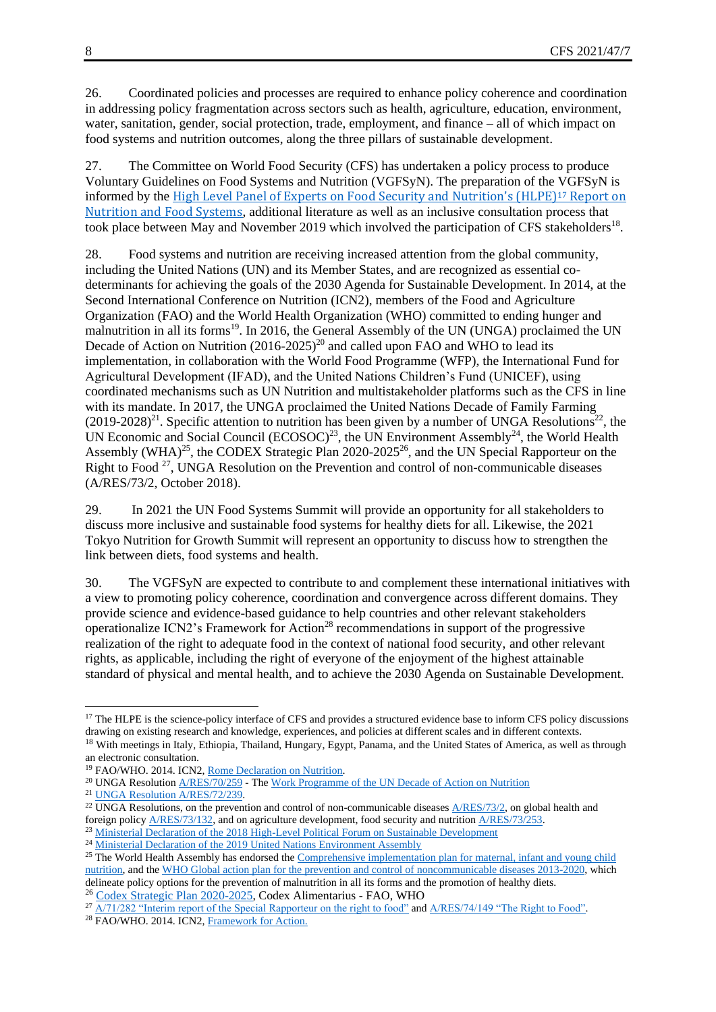26. Coordinated policies and processes are required to enhance policy coherence and coordination in addressing policy fragmentation across sectors such as health, agriculture, education, environment, water, sanitation, gender, social protection, trade, employment, and finance – all of which impact on food systems and nutrition outcomes, along the three pillars of sustainable development.

27. The Committee on World Food Security (CFS) has undertaken a policy process to produce Voluntary Guidelines on Food Systems and Nutrition (VGFSyN). The preparation of the VGFSyN is informed by the [High Level Panel of Experts on Food Security and Nutrition's \(HLPE\)](http://www.fao.org/3/a-i7846e.pdf/)<sup>17</sup> Report on [Nutrition and Food Systems](http://www.fao.org/3/a-i7846e.pdf/), additional literature as well as an inclusive consultation process that took place between May and November 2019 which involved the participation of CFS stakeholders<sup>18</sup>.

28. Food systems and nutrition are receiving increased attention from the global community, including the United Nations (UN) and its Member States, and are recognized as essential codeterminants for achieving the goals of the 2030 Agenda for Sustainable Development. In 2014, at the Second International Conference on Nutrition (ICN2), members of the Food and Agriculture Organization (FAO) and the World Health Organization (WHO) committed to ending hunger and malnutrition in all its forms<sup>19</sup>. In 2016, the General Assembly of the UN (UNGA) proclaimed the UN Decade of Action on Nutrition  $(2016-2025)^{20}$  and called upon FAO and WHO to lead its implementation, in collaboration with the World Food Programme (WFP), the International Fund for Agricultural Development (IFAD), and the United Nations Children's Fund (UNICEF), using coordinated mechanisms such as UN Nutrition and multistakeholder platforms such as the CFS in line with its mandate. In 2017, the UNGA proclaimed the United Nations Decade of Family Farming  $(2019-2028)^{21}$ . Specific attention to nutrition has been given by a number of UNGA Resolutions<sup>22</sup>, the UN Economic and Social Council  $(ECOSOC)^{23}$ , the UN Environment Assembly<sup>24</sup>, the World Health Assembly (WHA)<sup>25</sup>, the CODEX Strategic Plan 2020-2025<sup>26</sup>, and the UN Special Rapporteur on the Right to Food<sup>27</sup>, UNGA Resolution on the Prevention and control of non-communicable diseases (A/RES/73/2, October 2018).

29. In 2021 the UN Food Systems Summit will provide an opportunity for all stakeholders to discuss more inclusive and sustainable food systems for healthy diets for all. Likewise, the 2021 Tokyo Nutrition for Growth Summit will represent an opportunity to discuss how to strengthen the link between diets, food systems and health.

30. The VGFSyN are expected to contribute to and complement these international initiatives with a view to promoting policy coherence, coordination and convergence across different domains. They provide science and evidence-based guidance to help countries and other relevant stakeholders operationalize ICN2's Framework for Action<sup>28</sup> recommendations in support of the progressive realization of the right to adequate food in the context of national food security, and other relevant rights, as applicable, including the right of everyone of the enjoyment of the highest attainable standard of physical and mental health, and to achieve the 2030 Agenda on Sustainable Development.

<sup>26</sup> [Codex Strategic Plan 2020-2025,](http://www.fao.org/3/ca5645en/CA5645EN.pdf) Codex Alimentarius - FAO, WHO

<sup>&</sup>lt;sup>17</sup> The HLPE is the science-policy interface of CFS and provides a structured evidence base to inform CFS policy discussions drawing on existing research and knowledge, experiences, and policies at different scales and in different contexts.

<sup>&</sup>lt;sup>18</sup> With meetings in Italy, Ethiopia, Thailand, Hungary, Egypt, Panama, and the United States of America, as well as through an electronic consultation.

<sup>&</sup>lt;sup>19</sup> FAO/WHO. 2014. ICN2[, Rome Declaration on Nutrition.](http://www.fao.org/3/a-ml542e.pdf)

<sup>&</sup>lt;sup>20</sup> UNGA Resolution  $\triangle$ /RES/70/259 - Th[e Work Programme of the UN Decade of Action on Nutrition](https://www.un.org/nutrition/sites/www.un.org.nutrition/files/general/pdf/mv131_rev1_undoa_wp_rev1_en.pdf)

<sup>&</sup>lt;sup>21</sup> [UNGA Resolution A/RES/72/239.](https://undocs.org/A/RES/72/239)

<sup>&</sup>lt;sup>22</sup> UNGA Resolutions, on the prevention and control of non-communicable diseases [A/RES/73/2,](https://undocs.org/A/RES/73/2) on global health and foreign policy  $\frac{\text{A/RES}/73/132}{\text{A}}$ , and on agriculture development, food security and nutrition  $\frac{\text{A/RES}/73/253}{\text{A}}$ .

<sup>&</sup>lt;sup>23</sup> [Ministerial Declaration of the 2018 High-Level Political Forum on Sustainable Development](http://www.un.org/ga/search/view_doc.asp?symbol=E/HLS/2018/1&Lang=E,%20para%2026,%20p.%207)

<sup>&</sup>lt;sup>24</sup> [Ministerial Declaration of the 2019 United Nations Environment Assembly](http://wedocs.unep.org/bitstream/handle/20.500.11822/27701/Draft%20Ministerial%20Declaration%20Fifth%20Draft%20as%20of%2014.03.2019.pdf?sequence=1&isAllowed=y,%20para%205.d,%20p.%202)

<sup>&</sup>lt;sup>25</sup> The World Health Assembly has endorsed the Comprehensive implementation plan for maternal, infant and young child [nutrition,](https://apps.who.int/iris/bitstream/handle/10665/113048/WHO_NMH_NHD_14.1_eng.pdf;jsessionid=CA83C0A1FF901F291CF3D1CFF1006DCD?sequence=1) and the [WHO Global action plan for the prevention and control of noncommunicable diseases 2013-2020,](https://apps.who.int/iris/bitstream/handle/10665/94384/9789241506236_eng.pdf?sequence=1) which delineate policy options for the prevention of malnutrition in all its forms and the promotion of healthy diets.

<sup>&</sup>lt;sup>27</sup> [A/71/282 "Interim report of the Special Rapporteur on the right to food"](https://undocs.org/A/71/282) an[d A/RES/74/149 "The Right to Food".](https://undocs.org/en/A/RES/74/149)

<sup>28</sup> FAO/WHO. 2014. ICN2[, Framework for Action.](http://www.fao.org/3/a-mm215e.pdf)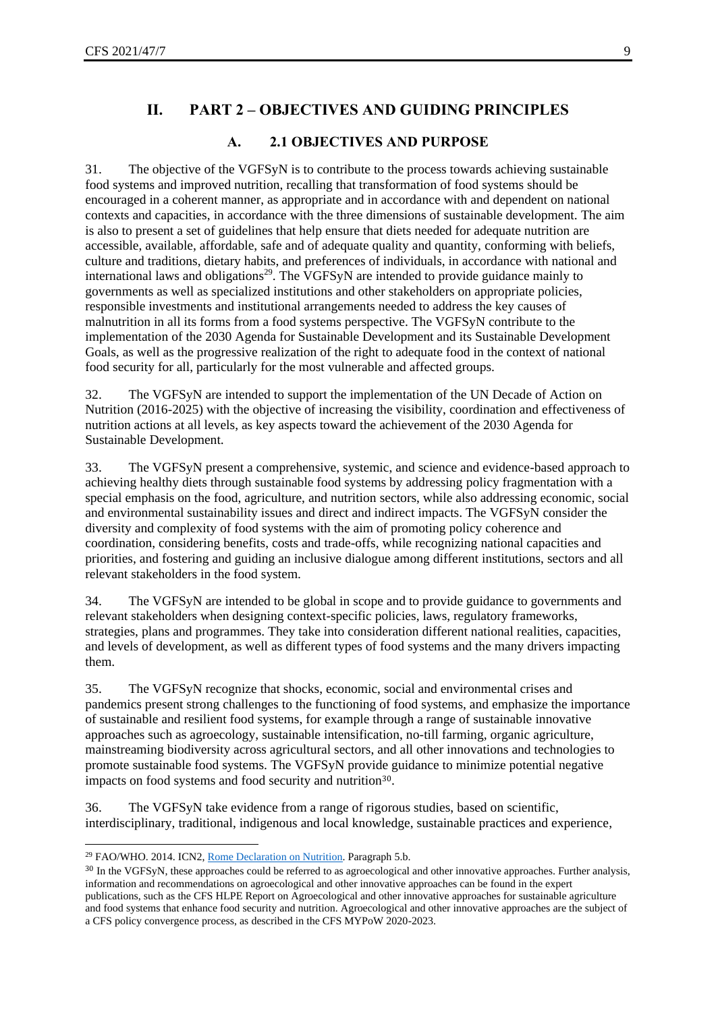# **II. PART 2 – OBJECTIVES AND GUIDING PRINCIPLES**

#### **A. 2.1 OBJECTIVES AND PURPOSE**

<span id="page-8-1"></span><span id="page-8-0"></span>31. The objective of the VGFSyN is to contribute to the process towards achieving sustainable food systems and improved nutrition, recalling that transformation of food systems should be encouraged in a coherent manner, as appropriate and in accordance with and dependent on national contexts and capacities, in accordance with the three dimensions of sustainable development. The aim is also to present a set of guidelines that help ensure that diets needed for adequate nutrition are accessible, available, affordable, safe and of adequate quality and quantity, conforming with beliefs, culture and traditions, dietary habits, and preferences of individuals, in accordance with national and international laws and obligations<sup>29</sup>. The VGFSyN are intended to provide guidance mainly to governments as well as specialized institutions and other stakeholders on appropriate policies, responsible investments and institutional arrangements needed to address the key causes of malnutrition in all its forms from a food systems perspective. The VGFSyN contribute to the implementation of the 2030 Agenda for Sustainable Development and its Sustainable Development Goals, as well as the progressive realization of the right to adequate food in the context of national food security for all, particularly for the most vulnerable and affected groups.

32. The VGFSyN are intended to support the implementation of the UN Decade of Action on Nutrition (2016-2025) with the objective of increasing the visibility, coordination and effectiveness of nutrition actions at all levels, as key aspects toward the achievement of the 2030 Agenda for Sustainable Development.

33. The VGFSyN present a comprehensive, systemic, and science and evidence-based approach to achieving healthy diets through sustainable food systems by addressing policy fragmentation with a special emphasis on the food, agriculture, and nutrition sectors, while also addressing economic, social and environmental sustainability issues and direct and indirect impacts. The VGFSyN consider the diversity and complexity of food systems with the aim of promoting policy coherence and coordination, considering benefits, costs and trade-offs, while recognizing national capacities and priorities, and fostering and guiding an inclusive dialogue among different institutions, sectors and all relevant stakeholders in the food system.

34. The VGFSyN are intended to be global in scope and to provide guidance to governments and relevant stakeholders when designing context-specific policies, laws, regulatory frameworks, strategies, plans and programmes. They take into consideration different national realities, capacities, and levels of development, as well as different types of food systems and the many drivers impacting them.

35. The VGFSyN recognize that shocks, economic, social and environmental crises and pandemics present strong challenges to the functioning of food systems, and emphasize the importance of sustainable and resilient food systems, for example through a range of sustainable innovative approaches such as agroecology, sustainable intensification, no-till farming, organic agriculture, mainstreaming biodiversity across agricultural sectors, and all other innovations and technologies to promote sustainable food systems. The VGFSyN provide guidance to minimize potential negative impacts on food systems and food security and nutrition<sup>30</sup>.

36. The VGFSyN take evidence from a range of rigorous studies, based on scientific, interdisciplinary, traditional, indigenous and local knowledge, sustainable practices and experience,

<sup>&</sup>lt;sup>29</sup> FAO/WHO. 2014. ICN2[, Rome Declaration on Nutrition.](http://www.fao.org/3/a-ml542e.pdf) Paragraph 5.b.

<sup>&</sup>lt;sup>30</sup> In the VGFSyN, these approaches could be referred to as agroecological and other innovative approaches. Further analysis, information and recommendations on agroecological and other innovative approaches can be found in the expert publications, such as the CFS HLPE Report on Agroecological and other innovative approaches for sustainable agriculture and food systems that enhance food security and nutrition. Agroecological and other innovative approaches are the subject of a CFS policy convergence process, as described in the CFS MYPoW 2020-2023.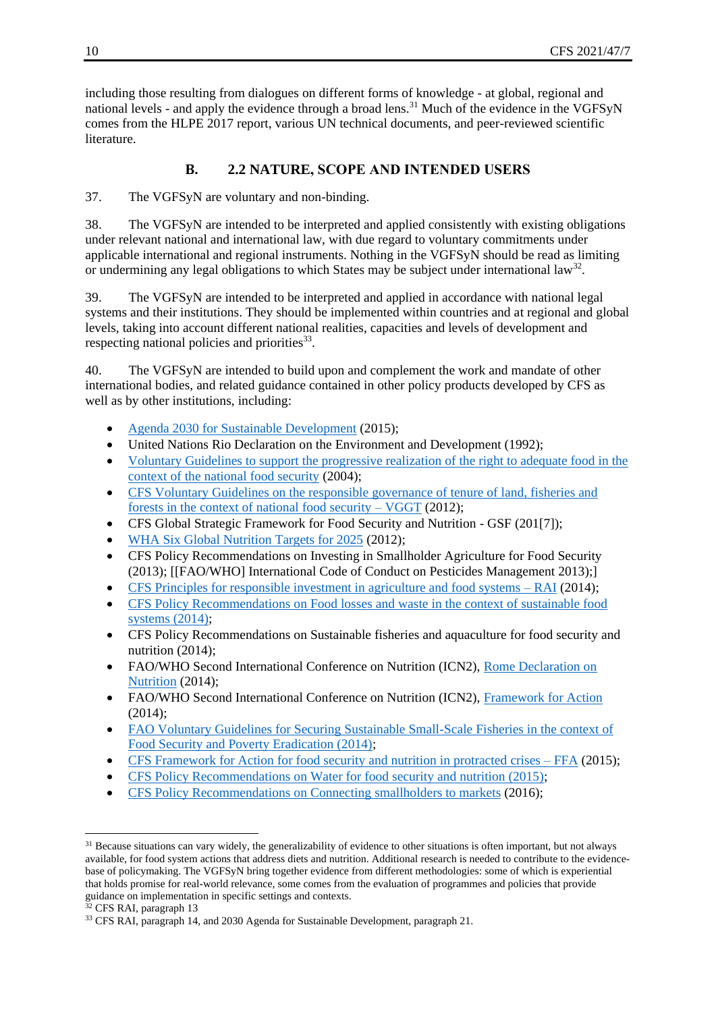including those resulting from dialogues on different forms of knowledge - at global, regional and national levels - and apply the evidence through a broad lens.<sup>31</sup> Much of the evidence in the VGFSyN comes from the HLPE 2017 report, various UN technical documents, and peer-reviewed scientific literature.

# **B. 2.2 NATURE, SCOPE AND INTENDED USERS**

<span id="page-9-0"></span>37. The VGFSyN are voluntary and non-binding.

38. The VGFSyN are intended to be interpreted and applied consistently with existing obligations under relevant national and international law, with due regard to voluntary commitments under applicable international and regional instruments. Nothing in the VGFSyN should be read as limiting or undermining any legal obligations to which States may be subject under international law<sup>32</sup>.

39. The VGFSyN are intended to be interpreted and applied in accordance with national legal systems and their institutions. They should be implemented within countries and at regional and global levels, taking into account different national realities, capacities and levels of development and respecting national policies and priorities $33$ .

40. The VGFSyN are intended to build upon and complement the work and mandate of other international bodies, and related guidance contained in other policy products developed by CFS as well as by other institutions, including:

- [Agenda 2030 for Sustainable Development](https://www.un.org/ga/search/view_doc.asp?symbol=A/RES/70/1&Lang=E) (2015);
- United Nations Rio Declaration on the Environment and Development (1992):
- [Voluntary Guidelines to support the progressive realization of the right to adequate food in the](http://www.fao.org/3/a-y7937e.pdf)  [context of the national food security](http://www.fao.org/3/a-y7937e.pdf) (2004);
- [CFS Voluntary Guidelines on the responsible governance of tenure of land, fisheries and](http://www.fao.org/3/i2801e/i2801e.pdf)  [forests in the context of national food security –](http://www.fao.org/3/i2801e/i2801e.pdf) VGGT (2012);
- CFS Global Strategic Framework for Food Security and Nutrition GSF (201[7]);
- [WHA Six Global Nutrition Targets for 2025](https://www.who.int/nutrition/global-target-2025/en/) (2012);
- CFS Policy Recommendations on Investing in Smallholder Agriculture for Food Security (2013); [[FAO/WHO] International Code of Conduct on Pesticides Management 2013);]
- [CFS Principles for responsible investment in agriculture and food systems –](http://www.fao.org/3/a-au866e.pdf) RAI (2014);
- CFS Policy Recommendations on Food losses and waste in the context of sustainable food [systems \(2014\);](http://www.fao.org/3/a-av037e.pdf)
- CFS Policy Recommendations on Sustainable fisheries and aquaculture for food security and nutrition (2014);
- FAO/WHO Second International Conference on Nutrition (ICN2), Rome Declaration on [Nutrition](http://www.fao.org/3/a-ml542e.pdf) (2014);
- FAO/WHO Second International Conference on Nutrition (ICN2), [Framework for Action](http://www.fao.org/3/a-mm215e.pdf) (2014);
- FAO Voluntary Guidelines for Securing Sustainable Small-Scale Fisheries in the context of [Food Security and Poverty Eradication \(2014\);](http://www.fao.org/3/a-i4356en.pdf)
- [CFS Framework for Action for food security and nutrition in protracted](http://www.fao.org/3/a-bc852e.pdf) crises FFA (2015);
- [CFS Policy Recommendations on Water for food security and nutrition \(2015\);](http://www.fao.org/3/a-av046e.pdf)
- [CFS Policy Recommendations on Connecting smallholders to markets](http://www.fao.org/3/a-bq853e.pdf) (2016);

<sup>&</sup>lt;sup>31</sup> Because situations can vary widely, the generalizability of evidence to other situations is often important, but not always available, for food system actions that address diets and nutrition. Additional research is needed to contribute to the evidencebase of policymaking. The VGFSyN bring together evidence from different methodologies: some of which is experiential that holds promise for real-world relevance, some comes from the evaluation of programmes and policies that provide guidance on implementation in specific settings and contexts.

<sup>&</sup>lt;sup>32</sup> CFS RAI, paragraph 13

<sup>33</sup> CFS RAI, paragraph 14, and 2030 Agenda for Sustainable Development, paragraph 21.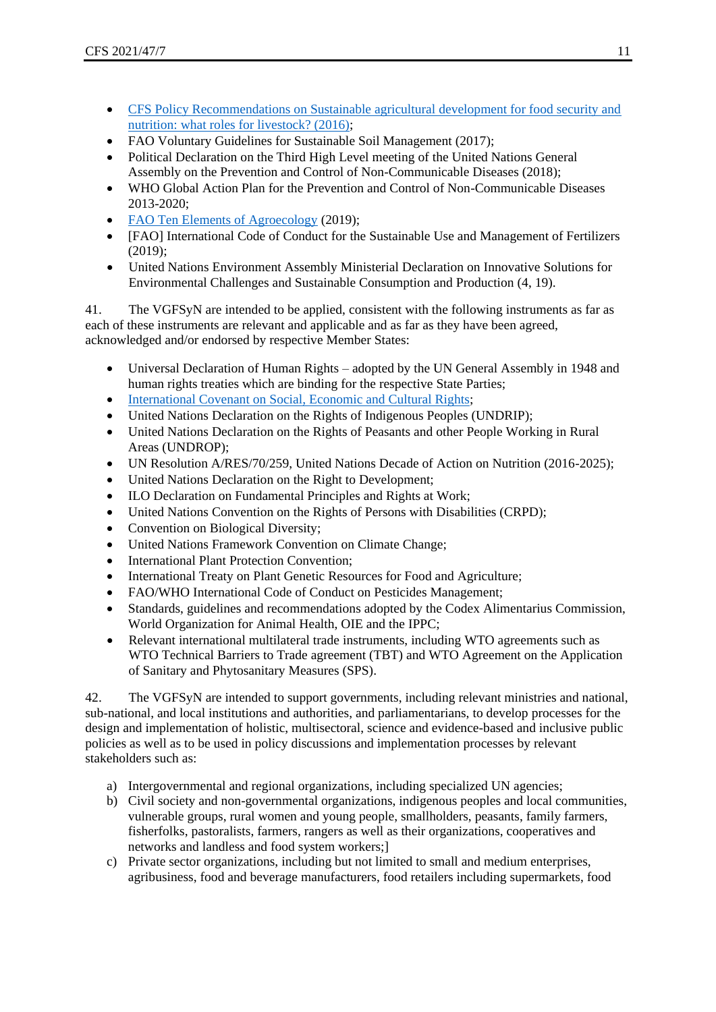- [CFS Policy Recommendations on Sustainable agricultural development for food security and](http://www.fao.org/3/a-bq854e.pdf)  [nutrition: what roles for livestock? \(2016\);](http://www.fao.org/3/a-bq854e.pdf)
- FAO Voluntary Guidelines for Sustainable Soil Management (2017);
- Political Declaration on the Third High Level meeting of the United Nations General Assembly on the Prevention and Control of Non-Communicable Diseases (2018);
- WHO Global Action Plan for the Prevention and Control of Non-Communicable Diseases 2013-2020;
- [FAO Ten Elements of Agroecology](http://www.fao.org/3/i9037en/I9037EN.pdf) (2019);
- [FAO] International Code of Conduct for the Sustainable Use and Management of Fertilizers (2019);
- United Nations Environment Assembly Ministerial Declaration on Innovative Solutions for Environmental Challenges and Sustainable Consumption and Production (4, 19).

41. The VGFSyN are intended to be applied, consistent with the following instruments as far as each of these instruments are relevant and applicable and as far as they have been agreed, acknowledged and/or endorsed by respective Member States:

- Universal Declaration of Human Rights adopted by the UN General Assembly in 1948 and human rights treaties which are binding for the respective State Parties;
- [International Covenant on Social, Economic and Cultural Rights;](https://www.ohchr.org/Documents/ProfessionalInterest/cescr.pdf)
- United Nations Declaration on the Rights of Indigenous Peoples (UNDRIP);
- United Nations Declaration on the Rights of Peasants and other People Working in Rural Areas (UNDROP);
- UN Resolution A/RES/70/259, United Nations Decade of Action on Nutrition (2016-2025);
- United Nations Declaration on the Right to Development;
- ILO Declaration on Fundamental Principles and Rights at Work;
- United Nations Convention on the Rights of Persons with Disabilities (CRPD);
- Convention on Biological Diversity;
- United Nations Framework Convention on Climate Change;
- International Plant Protection Convention:
- International Treaty on Plant Genetic Resources for Food and Agriculture;
- FAO/WHO International Code of Conduct on Pesticides Management;
- Standards, guidelines and recommendations adopted by the Codex Alimentarius Commission, World Organization for Animal Health, OIE and the IPPC;
- Relevant international multilateral trade instruments, including WTO agreements such as WTO Technical Barriers to Trade agreement (TBT) and WTO Agreement on the Application of Sanitary and Phytosanitary Measures (SPS).

42. The VGFSyN are intended to support governments, including relevant ministries and national, sub-national, and local institutions and authorities, and parliamentarians, to develop processes for the design and implementation of holistic, multisectoral, science and evidence-based and inclusive public policies as well as to be used in policy discussions and implementation processes by relevant stakeholders such as:

- a) Intergovernmental and regional organizations, including specialized UN agencies;
- b) Civil society and non-governmental organizations, indigenous peoples and local communities, vulnerable groups, rural women and young people, smallholders, peasants, family farmers, fisherfolks, pastoralists, farmers, rangers as well as their organizations, cooperatives and networks and landless and food system workers;]
- c) Private sector organizations, including but not limited to small and medium enterprises, agribusiness, food and beverage manufacturers, food retailers including supermarkets, food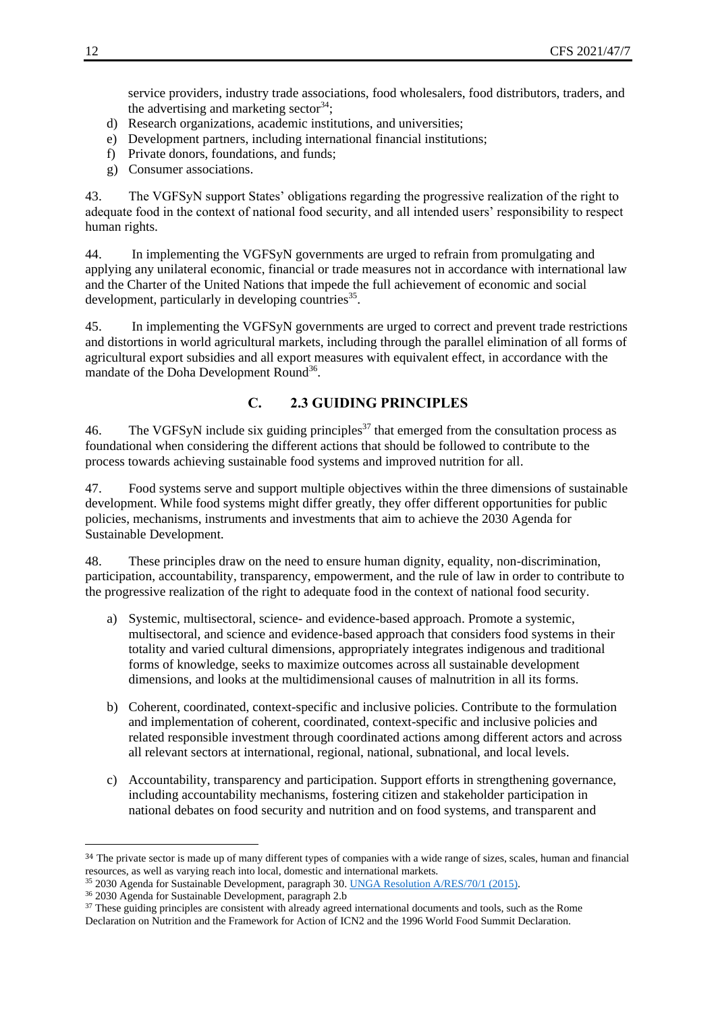service providers, industry trade associations, food wholesalers, food distributors, traders, and the advertising and marketing sector  $34$ ;

- d) Research organizations, academic institutions, and universities;
- e) Development partners, including international financial institutions;
- f) Private donors, foundations, and funds;
- g) Consumer associations.

43. The VGFSyN support States' obligations regarding the progressive realization of the right to adequate food in the context of national food security, and all intended users' responsibility to respect human rights.

44. In implementing the VGFSyN governments are urged to refrain from promulgating and applying any unilateral economic, financial or trade measures not in accordance with international law and the Charter of the United Nations that impede the full achievement of economic and social development, particularly in developing countries<sup>35</sup>.

45. In implementing the VGFSyN governments are urged to correct and prevent trade restrictions and distortions in world agricultural markets, including through the parallel elimination of all forms of agricultural export subsidies and all export measures with equivalent effect, in accordance with the mandate of the Doha Development Round<sup>36</sup>.

# **C. 2.3 GUIDING PRINCIPLES**

<span id="page-11-0"></span>46. The VGFSyN include six guiding principles<sup>37</sup> that emerged from the consultation process as foundational when considering the different actions that should be followed to contribute to the process towards achieving sustainable food systems and improved nutrition for all.

47. Food systems serve and support multiple objectives within the three dimensions of sustainable development. While food systems might differ greatly, they offer different opportunities for public policies, mechanisms, instruments and investments that aim to achieve the 2030 Agenda for Sustainable Development.

48. These principles draw on the need to ensure human dignity, equality, non-discrimination, participation, accountability, transparency, empowerment, and the rule of law in order to contribute to the progressive realization of the right to adequate food in the context of national food security.

- a) Systemic, multisectoral, science- and evidence-based approach. Promote a systemic, multisectoral, and science and evidence-based approach that considers food systems in their totality and varied cultural dimensions, appropriately integrates indigenous and traditional forms of knowledge, seeks to maximize outcomes across all sustainable development dimensions, and looks at the multidimensional causes of malnutrition in all its forms.
- b) Coherent, coordinated, context-specific and inclusive policies. Contribute to the formulation and implementation of coherent, coordinated, context-specific and inclusive policies and related responsible investment through coordinated actions among different actors and across all relevant sectors at international, regional, national, subnational, and local levels.
- c) Accountability, transparency and participation. Support efforts in strengthening governance, including accountability mechanisms, fostering citizen and stakeholder participation in national debates on food security and nutrition and on food systems, and transparent and

<sup>35</sup> 2030 Agenda for Sustainable Development, paragraph 30. [UNGA Resolution A/RES/70/1 \(2015\).](https://www.un.org/ga/search/view_doc.asp?symbol=A/RES/70/1&Lang=E)

<sup>&</sup>lt;sup>34</sup> The private sector is made up of many different types of companies with a wide range of sizes, scales, human and financial resources, as well as varying reach into local, domestic and international markets.

<sup>36</sup> 2030 Agenda for Sustainable Development, paragraph 2.b

<sup>&</sup>lt;sup>37</sup> These guiding principles are consistent with already agreed international documents and tools, such as the Rome Declaration on Nutrition and the Framework for Action of ICN2 and the 1996 World Food Summit Declaration.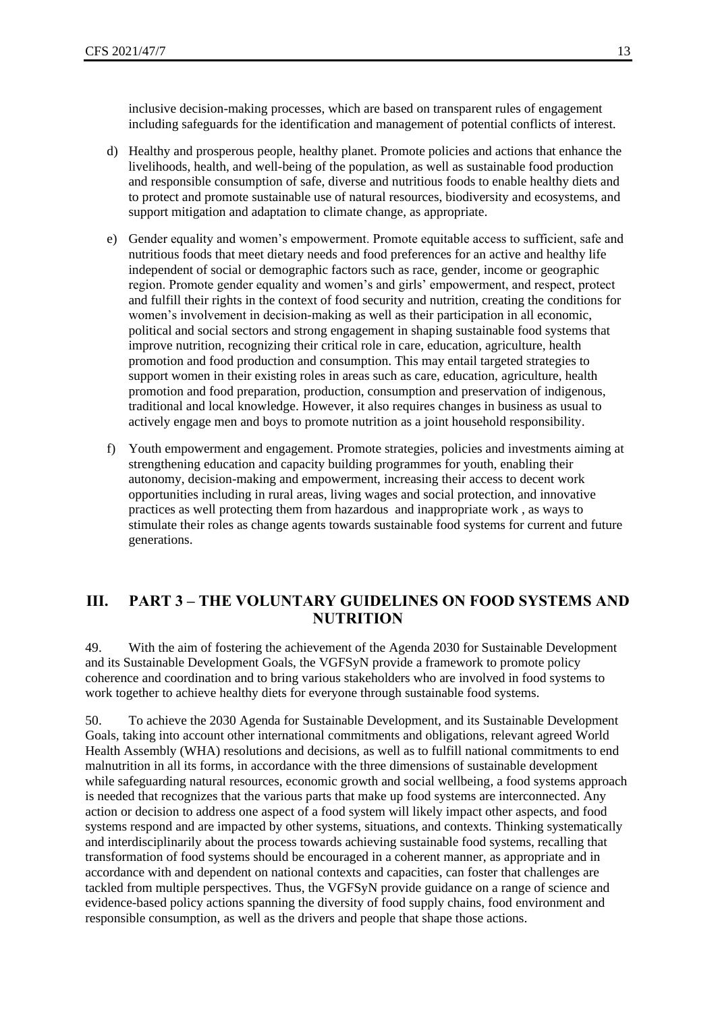inclusive decision-making processes, which are based on transparent rules of engagement including safeguards for the identification and management of potential conflicts of interest.

- d) Healthy and prosperous people, healthy planet. Promote policies and actions that enhance the livelihoods, health, and well-being of the population, as well as sustainable food production and responsible consumption of safe, diverse and nutritious foods to enable healthy diets and to protect and promote sustainable use of natural resources, biodiversity and ecosystems, and support mitigation and adaptation to climate change, as appropriate.
- e) Gender equality and women's empowerment. Promote equitable access to sufficient, safe and nutritious foods that meet dietary needs and food preferences for an active and healthy life independent of social or demographic factors such as race, gender, income or geographic region. Promote gender equality and women's and girls' empowerment, and respect, protect and fulfill their rights in the context of food security and nutrition, creating the conditions for women's involvement in decision-making as well as their participation in all economic, political and social sectors and strong engagement in shaping sustainable food systems that improve nutrition, recognizing their critical role in care, education, agriculture, health promotion and food production and consumption. This may entail targeted strategies to support women in their existing roles in areas such as care, education, agriculture, health promotion and food preparation, production, consumption and preservation of indigenous, traditional and local knowledge. However, it also requires changes in business as usual to actively engage men and boys to promote nutrition as a joint household responsibility.
- f) Youth empowerment and engagement. Promote strategies, policies and investments aiming at strengthening education and capacity building programmes for youth, enabling their autonomy, decision-making and empowerment, increasing their access to decent work opportunities including in rural areas, living wages and social protection, and innovative practices as well protecting them from hazardous and inappropriate work , as ways to stimulate their roles as change agents towards sustainable food systems for current and future generations.

# <span id="page-12-0"></span>**III. PART 3 – THE VOLUNTARY GUIDELINES ON FOOD SYSTEMS AND NUTRITION**

49. With the aim of fostering the achievement of the Agenda 2030 for Sustainable Development and its Sustainable Development Goals, the VGFSyN provide a framework to promote policy coherence and coordination and to bring various stakeholders who are involved in food systems to work together to achieve healthy diets for everyone through sustainable food systems.

50. To achieve the 2030 Agenda for Sustainable Development, and its Sustainable Development Goals, taking into account other international commitments and obligations, relevant agreed World Health Assembly (WHA) resolutions and decisions, as well as to fulfill national commitments to end malnutrition in all its forms, in accordance with the three dimensions of sustainable development while safeguarding natural resources, economic growth and social wellbeing, a food systems approach is needed that recognizes that the various parts that make up food systems are interconnected. Any action or decision to address one aspect of a food system will likely impact other aspects, and food systems respond and are impacted by other systems, situations, and contexts. Thinking systematically and interdisciplinarily about the process towards achieving sustainable food systems, recalling that transformation of food systems should be encouraged in a coherent manner, as appropriate and in accordance with and dependent on national contexts and capacities, can foster that challenges are tackled from multiple perspectives. Thus, the VGFSyN provide guidance on a range of science and evidence-based policy actions spanning the diversity of food supply chains, food environment and responsible consumption, as well as the drivers and people that shape those actions.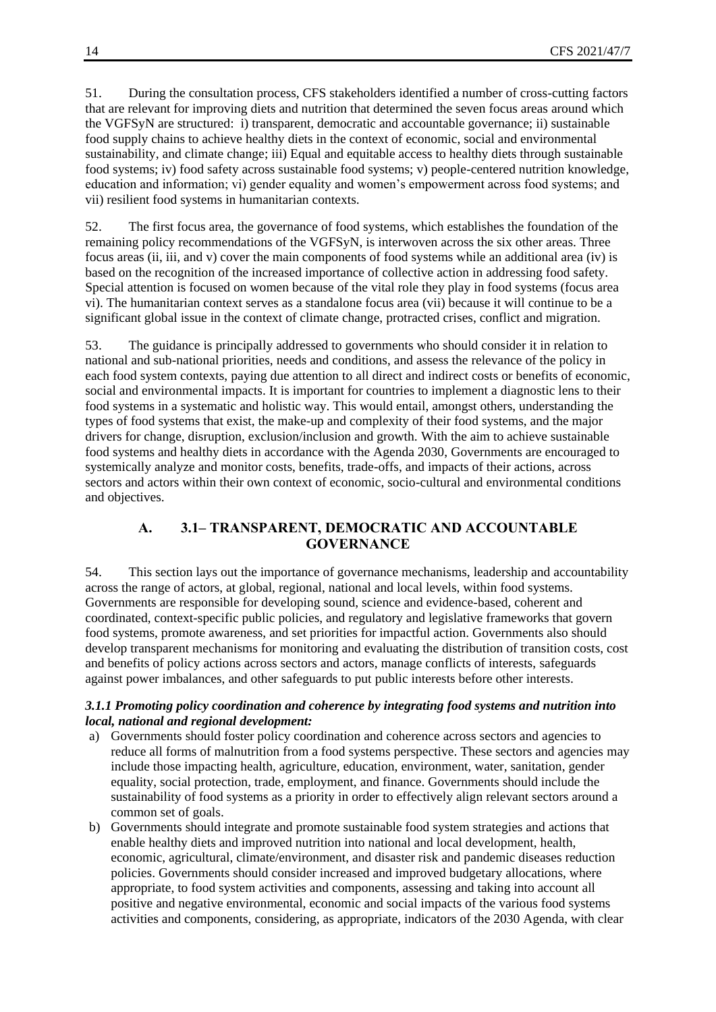51. During the consultation process, CFS stakeholders identified a number of cross-cutting factors that are relevant for improving diets and nutrition that determined the seven focus areas around which the VGFSyN are structured: i) transparent, democratic and accountable governance; ii) sustainable food supply chains to achieve healthy diets in the context of economic, social and environmental sustainability, and climate change; iii) Equal and equitable access to healthy diets through sustainable food systems; iv) food safety across sustainable food systems; v) people-centered nutrition knowledge, education and information; vi) gender equality and women's empowerment across food systems; and vii) resilient food systems in humanitarian contexts.

52. The first focus area, the governance of food systems, which establishes the foundation of the remaining policy recommendations of the VGFSyN, is interwoven across the six other areas. Three focus areas (ii, iii, and v) cover the main components of food systems while an additional area (iv) is based on the recognition of the increased importance of collective action in addressing food safety. Special attention is focused on women because of the vital role they play in food systems (focus area vi). The humanitarian context serves as a standalone focus area (vii) because it will continue to be a significant global issue in the context of climate change, protracted crises, conflict and migration.

53. The guidance is principally addressed to governments who should consider it in relation to national and sub-national priorities, needs and conditions, and assess the relevance of the policy in each food system contexts, paying due attention to all direct and indirect costs or benefits of economic, social and environmental impacts. It is important for countries to implement a diagnostic lens to their food systems in a systematic and holistic way. This would entail, amongst others, understanding the types of food systems that exist, the make-up and complexity of their food systems, and the major drivers for change, disruption, exclusion/inclusion and growth. With the aim to achieve sustainable food systems and healthy diets in accordance with the Agenda 2030, Governments are encouraged to systemically analyze and monitor costs, benefits, trade-offs, and impacts of their actions, across sectors and actors within their own context of economic, socio-cultural and environmental conditions and objectives.

#### **A. 3.1– TRANSPARENT, DEMOCRATIC AND ACCOUNTABLE GOVERNANCE**

<span id="page-13-0"></span>54. This section lays out the importance of governance mechanisms, leadership and accountability across the range of actors, at global, regional, national and local levels, within food systems. Governments are responsible for developing sound, science and evidence-based, coherent and coordinated, context-specific public policies, and regulatory and legislative frameworks that govern food systems, promote awareness, and set priorities for impactful action. Governments also should develop transparent mechanisms for monitoring and evaluating the distribution of transition costs, cost and benefits of policy actions across sectors and actors, manage conflicts of interests, safeguards against power imbalances, and other safeguards to put public interests before other interests.

#### <span id="page-13-1"></span>*3.1.1 Promoting policy coordination and coherence by integrating food systems and nutrition into local, national and regional development:*

- a) Governments should foster policy coordination and coherence across sectors and agencies to reduce all forms of malnutrition from a food systems perspective. These sectors and agencies may include those impacting health, agriculture, education, environment, water, sanitation, gender equality, social protection, trade, employment, and finance. Governments should include the sustainability of food systems as a priority in order to effectively align relevant sectors around a common set of goals.
- b) Governments should integrate and promote sustainable food system strategies and actions that enable healthy diets and improved nutrition into national and local development, health, economic, agricultural, climate/environment, and disaster risk and pandemic diseases reduction policies. Governments should consider increased and improved budgetary allocations, where appropriate, to food system activities and components, assessing and taking into account all positive and negative environmental, economic and social impacts of the various food systems activities and components, considering, as appropriate, indicators of the 2030 Agenda, with clear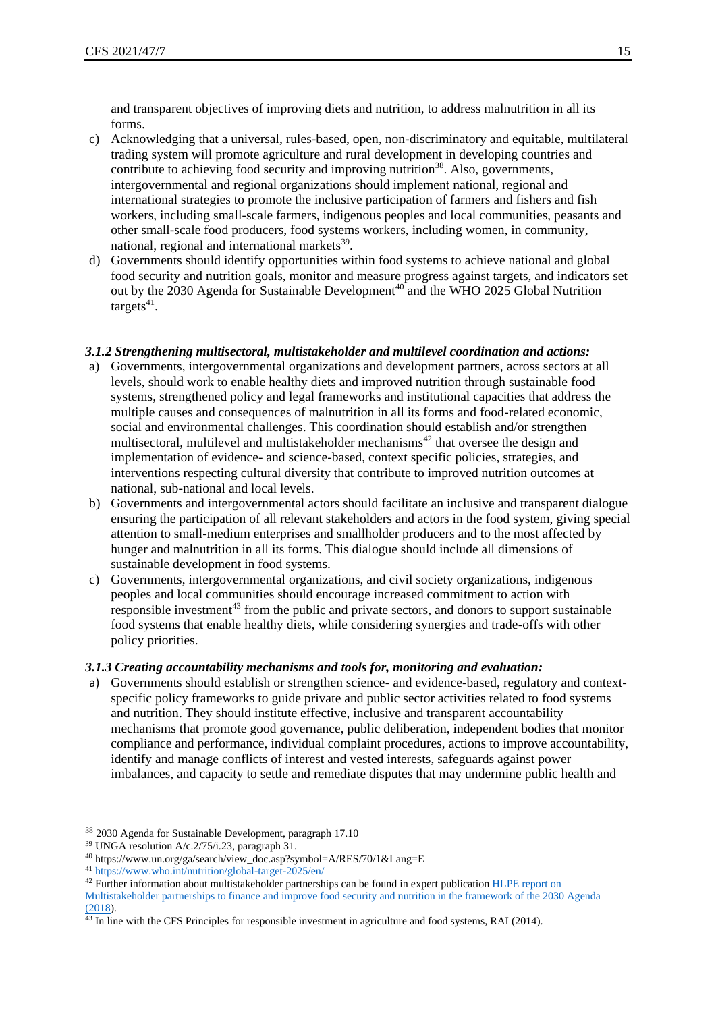and transparent objectives of improving diets and nutrition, to address malnutrition in all its forms.

- c) Acknowledging that a universal, rules-based, open, non-discriminatory and equitable, multilateral trading system will promote agriculture and rural development in developing countries and contribute to achieving food security and improving nutrition $38$ . Also, governments, intergovernmental and regional organizations should implement national, regional and international strategies to promote the inclusive participation of farmers and fishers and fish workers, including small-scale farmers, indigenous peoples and local communities, peasants and other small-scale food producers, food systems workers, including women, in community, national, regional and international markets<sup>39</sup>.
- d) Governments should identify opportunities within food systems to achieve national and global food security and nutrition goals, monitor and measure progress against targets, and indicators set out by the 2030 Agenda for Sustainable Development<sup>40</sup> and the WHO 2025 Global Nutrition  $targest<sup>41</sup>$ .

#### <span id="page-14-0"></span>*3.1.2 Strengthening multisectoral, multistakeholder and multilevel coordination and actions:*

- a) Governments, intergovernmental organizations and development partners, across sectors at all levels, should work to enable healthy diets and improved nutrition through sustainable food systems, strengthened policy and legal frameworks and institutional capacities that address the multiple causes and consequences of malnutrition in all its forms and food-related economic, social and environmental challenges. This coordination should establish and/or strengthen multisectoral, multilevel and multistakeholder mechanisms<sup>42</sup> that oversee the design and implementation of evidence- and science-based, context specific policies, strategies, and interventions respecting cultural diversity that contribute to improved nutrition outcomes at national, sub-national and local levels.
- b) Governments and intergovernmental actors should facilitate an inclusive and transparent dialogue ensuring the participation of all relevant stakeholders and actors in the food system, giving special attention to small-medium enterprises and smallholder producers and to the most affected by hunger and malnutrition in all its forms. This dialogue should include all dimensions of sustainable development in food systems.
- c) Governments, intergovernmental organizations, and civil society organizations, indigenous peoples and local communities should encourage increased commitment to action with responsible investment<sup>43</sup> from the public and private sectors, and donors to support sustainable food systems that enable healthy diets, while considering synergies and trade-offs with other policy priorities.

#### <span id="page-14-1"></span>*3.1.3 Creating accountability mechanisms and tools for, monitoring and evaluation:*

a) Governments should establish or strengthen science- and evidence-based, regulatory and contextspecific policy frameworks to guide private and public sector activities related to food systems and nutrition. They should institute effective, inclusive and transparent accountability mechanisms that promote good governance, public deliberation, independent bodies that monitor compliance and performance, individual complaint procedures, actions to improve accountability, identify and manage conflicts of interest and vested interests, safeguards against power imbalances, and capacity to settle and remediate disputes that may undermine public health and

<sup>38</sup> 2030 Agenda for Sustainable Development, paragraph 17.10

<sup>39</sup> UNGA resolution A/c.2/75/i.23, paragraph 31.

<sup>40</sup> https://www.un.org/ga/search/view\_doc.asp?symbol=A/RES/70/1&Lang=E

<sup>41</sup> <https://www.who.int/nutrition/global-target-2025/en/>

<sup>&</sup>lt;sup>42</sup> Further information about multistakeholder partnerships can be found in expert publication HLPE report on [Multistakeholder partnerships to finance and improve food security and nutrition in the framework of the 2030 Agenda](http://www.fao.org/3/CA0156EN/CA0156en.pdf)   $(2018)$ 

<sup>&</sup>lt;sup>43</sup> In line with the CFS Principles for responsible investment in agriculture and food systems, RAI (2014).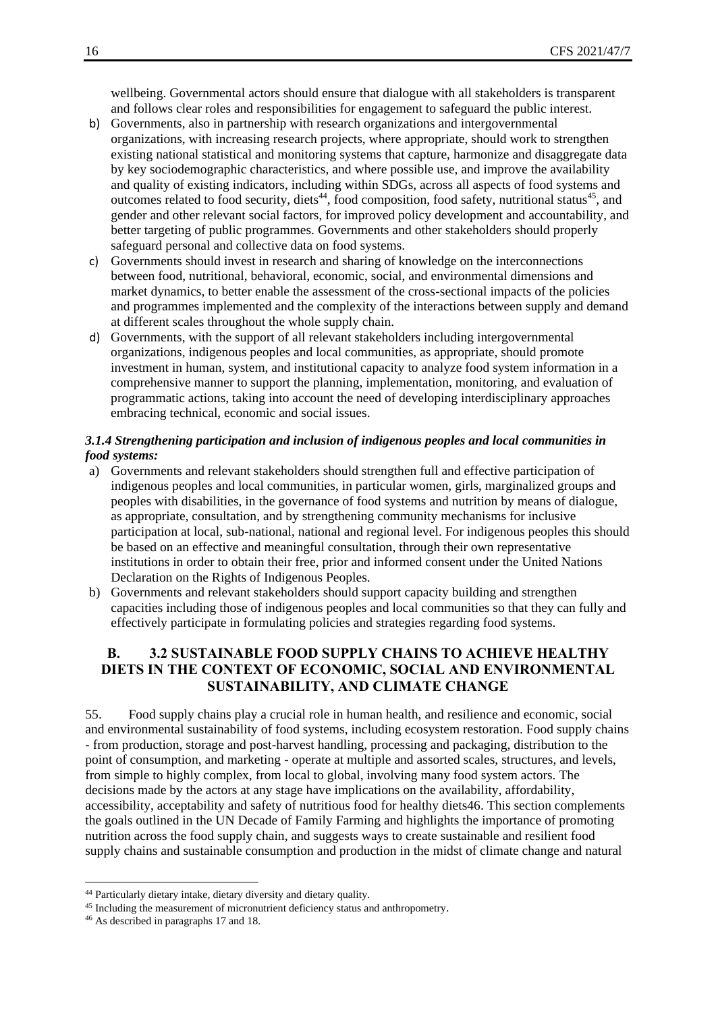wellbeing. Governmental actors should ensure that dialogue with all stakeholders is transparent and follows clear roles and responsibilities for engagement to safeguard the public interest.

- b) Governments, also in partnership with research organizations and intergovernmental organizations, with increasing research projects, where appropriate, should work to strengthen existing national statistical and monitoring systems that capture, harmonize and disaggregate data by key sociodemographic characteristics, and where possible use, and improve the availability and quality of existing indicators, including within SDGs, across all aspects of food systems and outcomes related to food security, diets<sup>44</sup>, food composition, food safety, nutritional status<sup>45</sup>, and gender and other relevant social factors, for improved policy development and accountability, and better targeting of public programmes. Governments and other stakeholders should properly safeguard personal and collective data on food systems.
- c) Governments should invest in research and sharing of knowledge on the interconnections between food, nutritional, behavioral, economic, social, and environmental dimensions and market dynamics, to better enable the assessment of the cross-sectional impacts of the policies and programmes implemented and the complexity of the interactions between supply and demand at different scales throughout the whole supply chain.
- d) Governments, with the support of all relevant stakeholders including intergovernmental organizations, indigenous peoples and local communities, as appropriate, should promote investment in human, system, and institutional capacity to analyze food system information in a comprehensive manner to support the planning, implementation, monitoring, and evaluation of programmatic actions, taking into account the need of developing interdisciplinary approaches embracing technical, economic and social issues.

#### <span id="page-15-0"></span>*3.1.4 Strengthening participation and inclusion of indigenous peoples and local communities in food systems:*

- a) Governments and relevant stakeholders should strengthen full and effective participation of indigenous peoples and local communities, in particular women, girls, marginalized groups and peoples with disabilities, in the governance of food systems and nutrition by means of dialogue, as appropriate, consultation, and by strengthening community mechanisms for inclusive participation at local, sub-national, national and regional level. For indigenous peoples this should be based on an effective and meaningful consultation, through their own representative institutions in order to obtain their free, prior and informed consent under the United Nations Declaration on the Rights of Indigenous Peoples.
- b) Governments and relevant stakeholders should support capacity building and strengthen capacities including those of indigenous peoples and local communities so that they can fully and effectively participate in formulating policies and strategies regarding food systems.

## <span id="page-15-1"></span>**B. 3.2 SUSTAINABLE FOOD SUPPLY CHAINS TO ACHIEVE HEALTHY DIETS IN THE CONTEXT OF ECONOMIC, SOCIAL AND ENVIRONMENTAL SUSTAINABILITY, AND CLIMATE CHANGE**

55. Food supply chains play a crucial role in human health, and resilience and economic, social and environmental sustainability of food systems, including ecosystem restoration. Food supply chains - from production, storage and post-harvest handling, processing and packaging, distribution to the point of consumption, and marketing - operate at multiple and assorted scales, structures, and levels, from simple to highly complex, from local to global, involving many food system actors. The decisions made by the actors at any stage have implications on the availability, affordability, accessibility, acceptability and safety of nutritious food for healthy diets46. This section complements the goals outlined in the UN Decade of Family Farming and highlights the importance of promoting nutrition across the food supply chain, and suggests ways to create sustainable and resilient food supply chains and sustainable consumption and production in the midst of climate change and natural

<sup>44</sup> Particularly dietary intake, dietary diversity and dietary quality.

<sup>&</sup>lt;sup>45</sup> Including the measurement of micronutrient deficiency status and anthropometry.

<sup>46</sup> As described in paragraphs 17 and 18.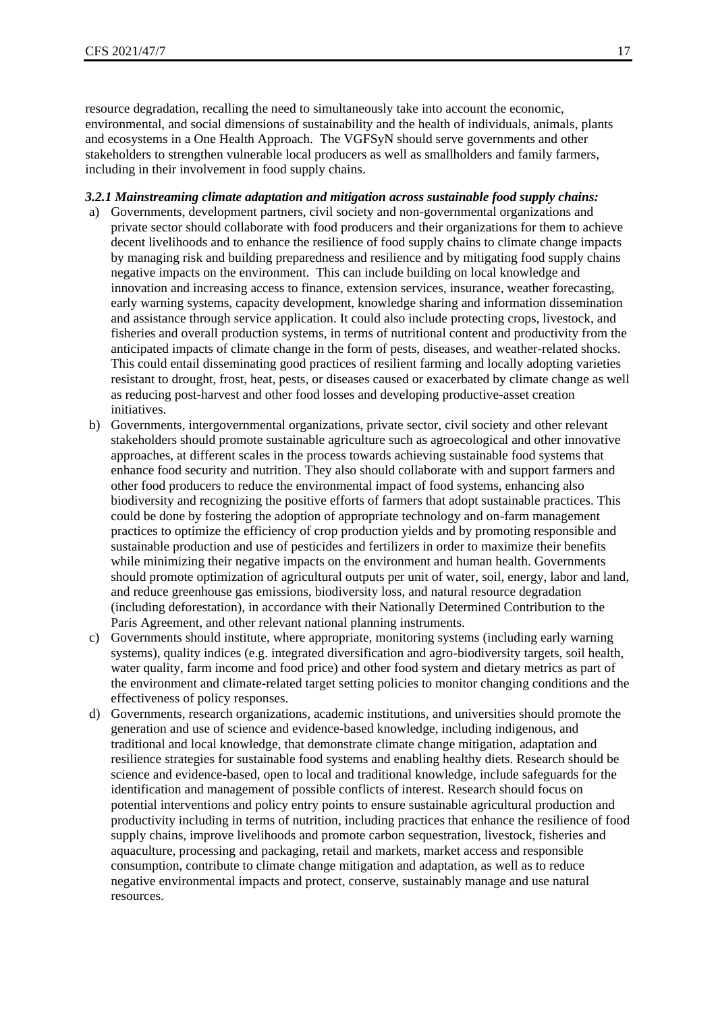resource degradation, recalling the need to simultaneously take into account the economic, environmental, and social dimensions of sustainability and the health of individuals, animals, plants and ecosystems in a One Health Approach. The VGFSyN should serve governments and other stakeholders to strengthen vulnerable local producers as well as smallholders and family farmers, including in their involvement in food supply chains.

#### <span id="page-16-0"></span>*3.2.1 Mainstreaming climate adaptation and mitigation across sustainable food supply chains:*

- a) Governments, development partners, civil society and non-governmental organizations and private sector should collaborate with food producers and their organizations for them to achieve decent livelihoods and to enhance the resilience of food supply chains to climate change impacts by managing risk and building preparedness and resilience and by mitigating food supply chains negative impacts on the environment. This can include building on local knowledge and innovation and increasing access to finance, extension services, insurance, weather forecasting, early warning systems, capacity development, knowledge sharing and information dissemination and assistance through service application. It could also include protecting crops, livestock, and fisheries and overall production systems, in terms of nutritional content and productivity from the anticipated impacts of climate change in the form of pests, diseases, and weather-related shocks. This could entail disseminating good practices of resilient farming and locally adopting varieties resistant to drought, frost, heat, pests, or diseases caused or exacerbated by climate change as well as reducing post-harvest and other food losses and developing productive-asset creation initiatives.
- b) Governments, intergovernmental organizations, private sector, civil society and other relevant stakeholders should promote sustainable agriculture such as agroecological and other innovative approaches, at different scales in the process towards achieving sustainable food systems that enhance food security and nutrition. They also should collaborate with and support farmers and other food producers to reduce the environmental impact of food systems, enhancing also biodiversity and recognizing the positive efforts of farmers that adopt sustainable practices. This could be done by fostering the adoption of appropriate technology and on-farm management practices to optimize the efficiency of crop production yields and by promoting responsible and sustainable production and use of pesticides and fertilizers in order to maximize their benefits while minimizing their negative impacts on the environment and human health. Governments should promote optimization of agricultural outputs per unit of water, soil, energy, labor and land, and reduce greenhouse gas emissions, biodiversity loss, and natural resource degradation (including deforestation), in accordance with their Nationally Determined Contribution to the Paris Agreement, and other relevant national planning instruments.
- c) Governments should institute, where appropriate, monitoring systems (including early warning systems), quality indices (e.g. integrated diversification and agro-biodiversity targets, soil health, water quality, farm income and food price) and other food system and dietary metrics as part of the environment and climate-related target setting policies to monitor changing conditions and the effectiveness of policy responses.
- d) Governments, research organizations, academic institutions, and universities should promote the generation and use of science and evidence-based knowledge, including indigenous, and traditional and local knowledge, that demonstrate climate change mitigation, adaptation and resilience strategies for sustainable food systems and enabling healthy diets. Research should be science and evidence-based, open to local and traditional knowledge, include safeguards for the identification and management of possible conflicts of interest. Research should focus on potential interventions and policy entry points to ensure sustainable agricultural production and productivity including in terms of nutrition, including practices that enhance the resilience of food supply chains, improve livelihoods and promote carbon sequestration, livestock, fisheries and aquaculture, processing and packaging, retail and markets, market access and responsible consumption, contribute to climate change mitigation and adaptation, as well as to reduce negative environmental impacts and protect, conserve, sustainably manage and use natural resources.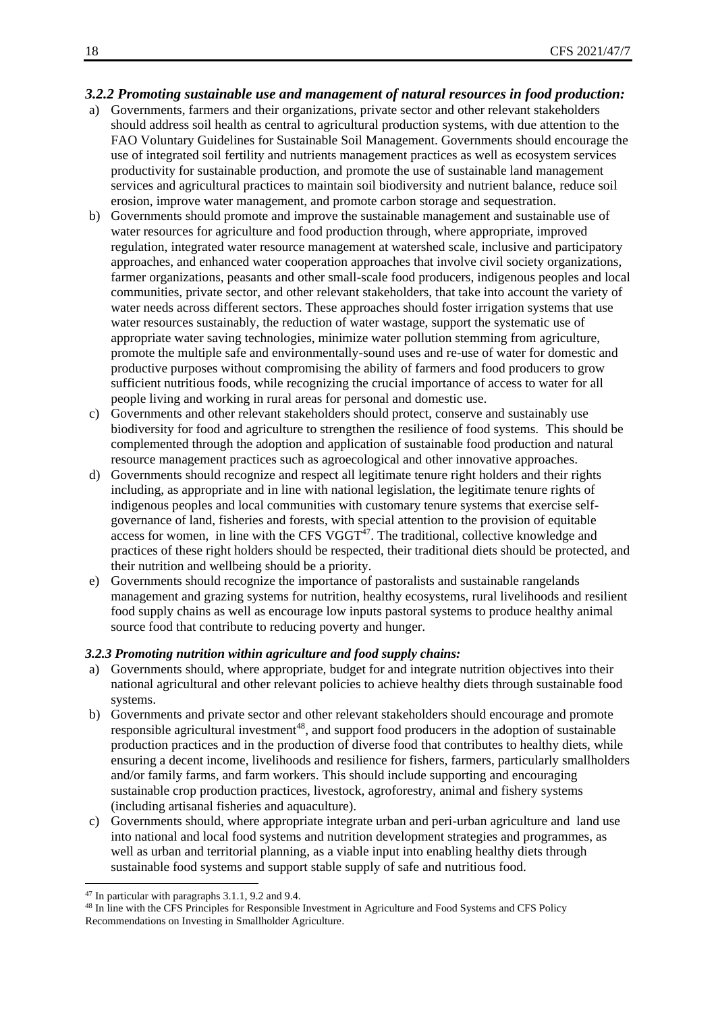#### <span id="page-17-0"></span>*3.2.2 Promoting sustainable use and management of natural resources in food production:*

- a) Governments, farmers and their organizations, private sector and other relevant stakeholders should address soil health as central to agricultural production systems, with due attention to the FAO Voluntary Guidelines for Sustainable Soil Management. Governments should encourage the use of integrated soil fertility and nutrients management practices as well as ecosystem services productivity for sustainable production, and promote the use of sustainable land management services and agricultural practices to maintain soil biodiversity and nutrient balance, reduce soil erosion, improve water management, and promote carbon storage and sequestration.
- b) Governments should promote and improve the sustainable management and sustainable use of water resources for agriculture and food production through, where appropriate, improved regulation, integrated water resource management at watershed scale, inclusive and participatory approaches, and enhanced water cooperation approaches that involve civil society organizations, farmer organizations, peasants and other small-scale food producers, indigenous peoples and local communities, private sector, and other relevant stakeholders, that take into account the variety of water needs across different sectors. These approaches should foster irrigation systems that use water resources sustainably, the reduction of water wastage, support the systematic use of appropriate water saving technologies, minimize water pollution stemming from agriculture, promote the multiple safe and environmentally-sound uses and re-use of water for domestic and productive purposes without compromising the ability of farmers and food producers to grow sufficient nutritious foods, while recognizing the crucial importance of access to water for all people living and working in rural areas for personal and domestic use.
- c) Governments and other relevant stakeholders should protect, conserve and sustainably use biodiversity for food and agriculture to strengthen the resilience of food systems. This should be complemented through the adoption and application of sustainable food production and natural resource management practices such as agroecological and other innovative approaches.
- d) Governments should recognize and respect all legitimate tenure right holders and their rights including, as appropriate and in line with national legislation, the legitimate tenure rights of indigenous peoples and local communities with customary tenure systems that exercise selfgovernance of land, fisheries and forests, with special attention to the provision of equitable access for women, in line with the CFS  $VGGT^{47}$ . The traditional, collective knowledge and practices of these right holders should be respected, their traditional diets should be protected, and their nutrition and wellbeing should be a priority.
- e) Governments should recognize the importance of pastoralists and sustainable rangelands management and grazing systems for nutrition, healthy ecosystems, rural livelihoods and resilient food supply chains as well as encourage low inputs pastoral systems to produce healthy animal source food that contribute to reducing poverty and hunger.

#### <span id="page-17-1"></span>*3.2.3 Promoting nutrition within agriculture and food supply chains:*

- a) Governments should, where appropriate, budget for and integrate nutrition objectives into their national agricultural and other relevant policies to achieve healthy diets through sustainable food systems.
- b) Governments and private sector and other relevant stakeholders should encourage and promote responsible agricultural investment<sup>48</sup>, and support food producers in the adoption of sustainable production practices and in the production of diverse food that contributes to healthy diets, while ensuring a decent income, livelihoods and resilience for fishers, farmers, particularly smallholders and/or family farms, and farm workers. This should include supporting and encouraging sustainable crop production practices, livestock, agroforestry, animal and fishery systems (including artisanal fisheries and aquaculture).
- c) Governments should, where appropriate integrate urban and peri-urban agriculture and land use into national and local food systems and nutrition development strategies and programmes, as well as urban and territorial planning, as a viable input into enabling healthy diets through sustainable food systems and support stable supply of safe and nutritious food.

<sup>47</sup> In particular with paragraphs 3.1.1, 9.2 and 9.4.

<sup>48</sup> In line with the CFS Principles for Responsible Investment in Agriculture and Food Systems and CFS Policy Recommendations on Investing in Smallholder Agriculture.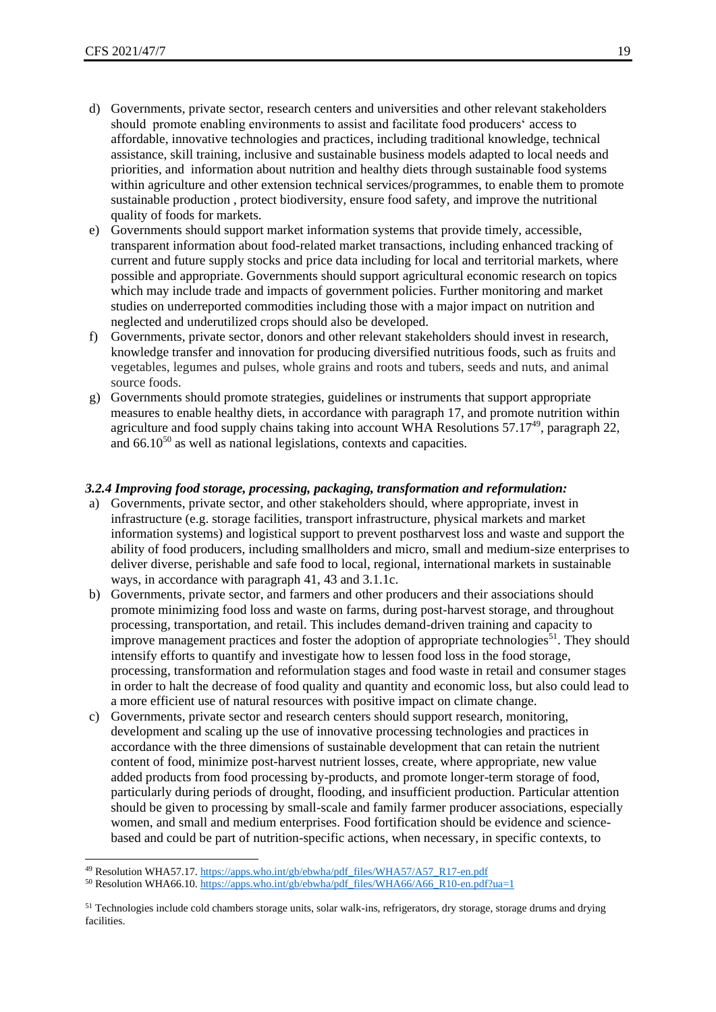- d) Governments, private sector, research centers and universities and other relevant stakeholders should promote enabling environments to assist and facilitate food producers' access to affordable, innovative technologies and practices, including traditional knowledge, technical assistance, skill training, inclusive and sustainable business models adapted to local needs and priorities, and information about nutrition and healthy diets through sustainable food systems within agriculture and other extension technical services/programmes, to enable them to promote sustainable production , protect biodiversity, ensure food safety, and improve the nutritional quality of foods for markets.
- e) Governments should support market information systems that provide timely, accessible, transparent information about food-related market transactions, including enhanced tracking of current and future supply stocks and price data including for local and territorial markets, where possible and appropriate. Governments should support agricultural economic research on topics which may include trade and impacts of government policies. Further monitoring and market studies on underreported commodities including those with a major impact on nutrition and neglected and underutilized crops should also be developed.
- f) Governments, private sector, donors and other relevant stakeholders should invest in research, knowledge transfer and innovation for producing diversified nutritious foods, such as fruits and vegetables, legumes and pulses, whole grains and roots and tubers, seeds and nuts, and animal source foods.
- g) Governments should promote strategies, guidelines or instruments that support appropriate measures to enable healthy diets, in accordance with paragraph 17, and promote nutrition within agriculture and food supply chains taking into account WHA Resolutions  $57.17^{49}$ , paragraph 22, and  $66.10^{50}$  as well as national legislations, contexts and capacities.

#### <span id="page-18-0"></span>*3.2.4 Improving food storage, processing, packaging, transformation and reformulation:*

- a) Governments, private sector, and other stakeholders should, where appropriate, invest in infrastructure (e.g. storage facilities, transport infrastructure, physical markets and market information systems) and logistical support to prevent postharvest loss and waste and support the ability of food producers, including smallholders and micro, small and medium-size enterprises to deliver diverse, perishable and safe food to local, regional, international markets in sustainable ways, in accordance with paragraph 41, 43 and 3.1.1c.
- b) Governments, private sector, and farmers and other producers and their associations should promote minimizing food loss and waste on farms, during post-harvest storage, and throughout processing, transportation, and retail. This includes demand-driven training and capacity to improve management practices and foster the adoption of appropriate technologies<sup>51</sup>. They should intensify efforts to quantify and investigate how to lessen food loss in the food storage, processing, transformation and reformulation stages and food waste in retail and consumer stages in order to halt the decrease of food quality and quantity and economic loss, but also could lead to a more efficient use of natural resources with positive impact on climate change.
- c) Governments, private sector and research centers should support research, monitoring, development and scaling up the use of innovative processing technologies and practices in accordance with the three dimensions of sustainable development that can retain the nutrient content of food, minimize post-harvest nutrient losses, create, where appropriate, new value added products from food processing by-products, and promote longer-term storage of food, particularly during periods of drought, flooding, and insufficient production. Particular attention should be given to processing by small-scale and family farmer producer associations, especially women, and small and medium enterprises. Food fortification should be evidence and sciencebased and could be part of nutrition-specific actions, when necessary, in specific contexts, to

<sup>49</sup> Resolution WHA57.17[. https://apps.who.int/gb/ebwha/pdf\\_files/WHA57/A57\\_R17-en.pdf](https://apps.who.int/gb/ebwha/pdf_files/WHA57/A57_R17-en.pdf)

<sup>&</sup>lt;sup>50</sup> Resolution WHA66.10[. https://apps.who.int/gb/ebwha/pdf\\_files/WHA66/A66\\_R10-en.pdf?ua=1](https://apps.who.int/gb/ebwha/pdf_files/WHA66/A66_R10-en.pdf?ua=1)

<sup>&</sup>lt;sup>51</sup> Technologies include cold chambers storage units, solar walk-ins, refrigerators, dry storage, storage drums and drying facilities.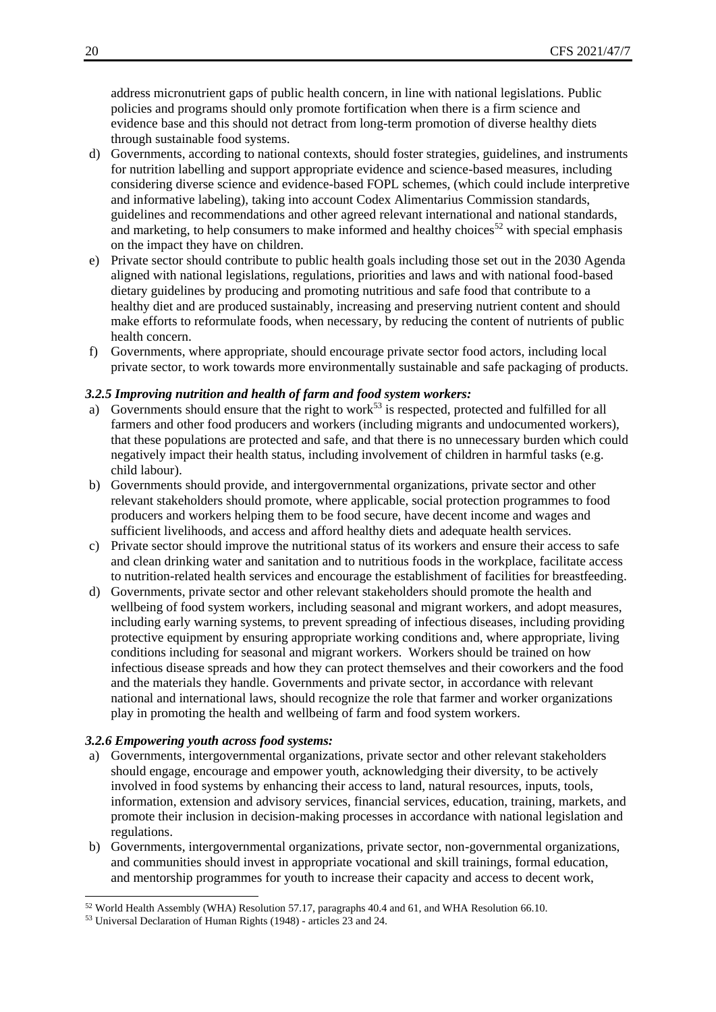address micronutrient gaps of public health concern, in line with national legislations. Public policies and programs should only promote fortification when there is a firm science and evidence base and this should not detract from long-term promotion of diverse healthy diets through sustainable food systems.

- d) Governments, according to national contexts, should foster strategies, guidelines, and instruments for nutrition labelling and support appropriate evidence and science-based measures, including considering diverse science and evidence-based FOPL schemes, (which could include interpretive and informative labeling), taking into account Codex Alimentarius Commission standards, guidelines and recommendations and other agreed relevant international and national standards, and marketing, to help consumers to make informed and healthy choices<sup>52</sup> with special emphasis on the impact they have on children.
- e) Private sector should contribute to public health goals including those set out in the 2030 Agenda aligned with national legislations, regulations, priorities and laws and with national food-based dietary guidelines by producing and promoting nutritious and safe food that contribute to a healthy diet and are produced sustainably, increasing and preserving nutrient content and should make efforts to reformulate foods, when necessary, by reducing the content of nutrients of public health concern.
- f) Governments, where appropriate, should encourage private sector food actors, including local private sector, to work towards more environmentally sustainable and safe packaging of products.

#### <span id="page-19-0"></span>*3.2.5 Improving nutrition and health of farm and food system workers:*

- a) Governments should ensure that the right to work<sup>53</sup> is respected, protected and fulfilled for all farmers and other food producers and workers (including migrants and undocumented workers), that these populations are protected and safe, and that there is no unnecessary burden which could negatively impact their health status, including involvement of children in harmful tasks (e.g. child labour).
- b) Governments should provide, and intergovernmental organizations, private sector and other relevant stakeholders should promote, where applicable, social protection programmes to food producers and workers helping them to be food secure, have decent income and wages and sufficient livelihoods, and access and afford healthy diets and adequate health services.
- c) Private sector should improve the nutritional status of its workers and ensure their access to safe and clean drinking water and sanitation and to nutritious foods in the workplace, facilitate access to nutrition-related health services and encourage the establishment of facilities for breastfeeding.
- d) Governments, private sector and other relevant stakeholders should promote the health and wellbeing of food system workers, including seasonal and migrant workers, and adopt measures, including early warning systems, to prevent spreading of infectious diseases, including providing protective equipment by ensuring appropriate working conditions and, where appropriate, living conditions including for seasonal and migrant workers. Workers should be trained on how infectious disease spreads and how they can protect themselves and their coworkers and the food and the materials they handle. Governments and private sector, in accordance with relevant national and international laws, should recognize the role that farmer and worker organizations play in promoting the health and wellbeing of farm and food system workers.

#### <span id="page-19-1"></span>*3.2.6 Empowering youth across food systems:*

- a) Governments, intergovernmental organizations, private sector and other relevant stakeholders should engage, encourage and empower youth, acknowledging their diversity, to be actively involved in food systems by enhancing their access to land, natural resources, inputs, tools, information, extension and advisory services, financial services, education, training, markets, and promote their inclusion in decision-making processes in accordance with national legislation and regulations.
- b) Governments, intergovernmental organizations, private sector, non-governmental organizations, and communities should invest in appropriate vocational and skill trainings, formal education, and mentorship programmes for youth to increase their capacity and access to decent work,

<sup>52</sup> World Health Assembly (WHA) Resolution 57.17, paragraphs 40.4 and 61, and WHA Resolution 66.10.

<sup>53</sup> Universal Declaration of Human Rights (1948) - articles 23 and 24.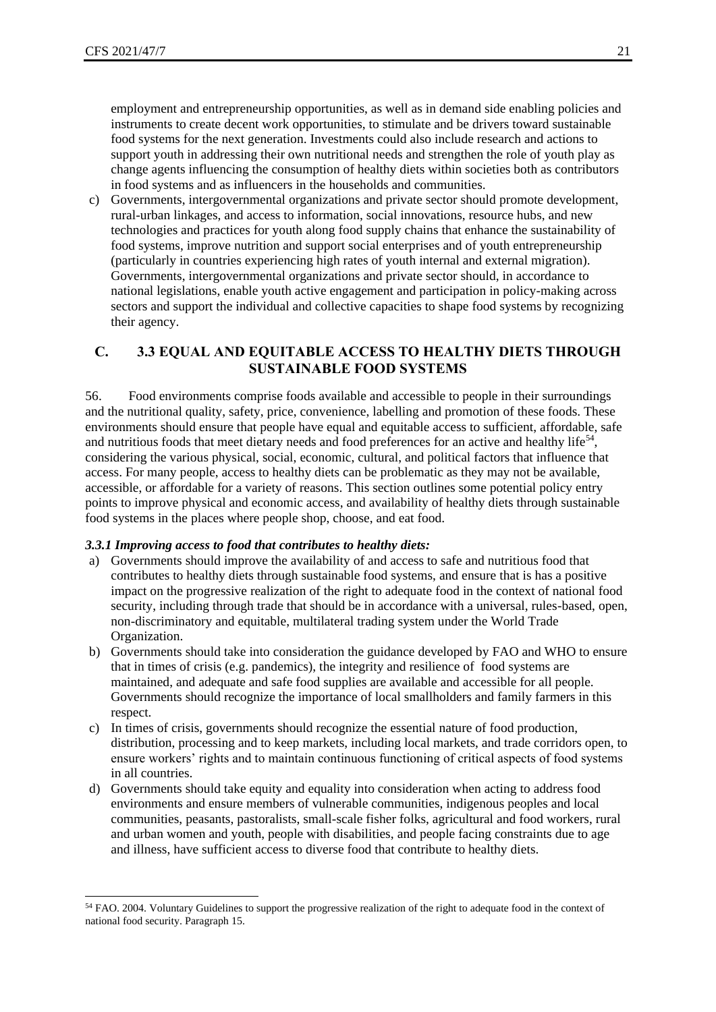employment and entrepreneurship opportunities, as well as in demand side enabling policies and instruments to create decent work opportunities, to stimulate and be drivers toward sustainable food systems for the next generation. Investments could also include research and actions to support youth in addressing their own nutritional needs and strengthen the role of youth play as change agents influencing the consumption of healthy diets within societies both as contributors in food systems and as influencers in the households and communities.

c) Governments, intergovernmental organizations and private sector should promote development, rural-urban linkages, and access to information, social innovations, resource hubs, and new technologies and practices for youth along food supply chains that enhance the sustainability of food systems, improve nutrition and support social enterprises and of youth entrepreneurship (particularly in countries experiencing high rates of youth internal and external migration). Governments, intergovernmental organizations and private sector should, in accordance to national legislations, enable youth active engagement and participation in policy-making across sectors and support the individual and collective capacities to shape food systems by recognizing their agency.

#### <span id="page-20-0"></span>**C. 3.3 EQUAL AND EQUITABLE ACCESS TO HEALTHY DIETS THROUGH SUSTAINABLE FOOD SYSTEMS**

56. Food environments comprise foods available and accessible to people in their surroundings and the nutritional quality, safety, price, convenience, labelling and promotion of these foods. These environments should ensure that people have equal and equitable access to sufficient, affordable, safe and nutritious foods that meet dietary needs and food preferences for an active and healthy life<sup>54</sup>, considering the various physical, social, economic, cultural, and political factors that influence that access. For many people, access to healthy diets can be problematic as they may not be available, accessible, or affordable for a variety of reasons. This section outlines some potential policy entry points to improve physical and economic access, and availability of healthy diets through sustainable food systems in the places where people shop, choose, and eat food.

#### <span id="page-20-1"></span>*3.3.1 Improving access to food that contributes to healthy diets:*

- a) Governments should improve the availability of and access to safe and nutritious food that contributes to healthy diets through sustainable food systems, and ensure that is has a positive impact on the progressive realization of the right to adequate food in the context of national food security, including through trade that should be in accordance with a universal, rules-based, open, non-discriminatory and equitable, multilateral trading system under the World Trade Organization.
- b) Governments should take into consideration the guidance developed by FAO and WHO to ensure that in times of crisis (e.g. pandemics), the integrity and resilience of food systems are maintained, and adequate and safe food supplies are available and accessible for all people. Governments should recognize the importance of local smallholders and family farmers in this respect.
- c) In times of crisis, governments should recognize the essential nature of food production, distribution, processing and to keep markets, including local markets, and trade corridors open, to ensure workers' rights and to maintain continuous functioning of critical aspects of food systems in all countries.
- d) Governments should take equity and equality into consideration when acting to address food environments and ensure members of vulnerable communities, indigenous peoples and local communities, peasants, pastoralists, small-scale fisher folks, agricultural and food workers, rural and urban women and youth, people with disabilities, and people facing constraints due to age and illness, have sufficient access to diverse food that contribute to healthy diets.

<sup>&</sup>lt;sup>54</sup> FAO. 2004. Voluntary Guidelines to support the progressive realization of the right to adequate food in the context of national food security. Paragraph 15.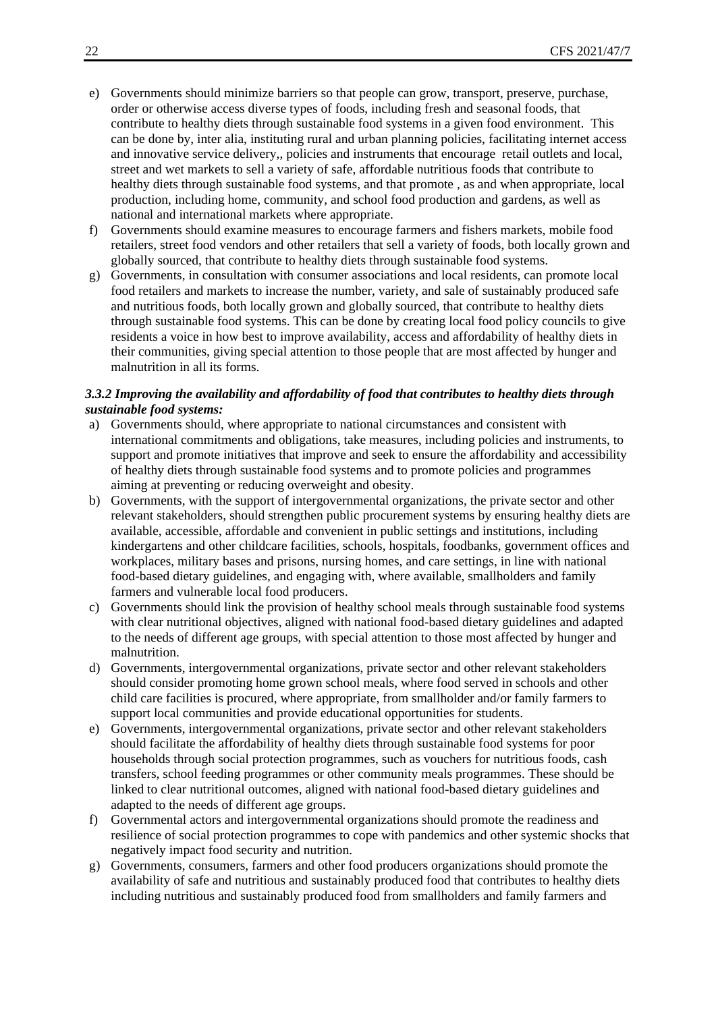- e) Governments should minimize barriers so that people can grow, transport, preserve, purchase, order or otherwise access diverse types of foods, including fresh and seasonal foods, that contribute to healthy diets through sustainable food systems in a given food environment. This can be done by, inter alia, instituting rural and urban planning policies, facilitating internet access and innovative service delivery,, policies and instruments that encourage retail outlets and local, street and wet markets to sell a variety of safe, affordable nutritious foods that contribute to healthy diets through sustainable food systems, and that promote , as and when appropriate, local production, including home, community, and school food production and gardens, as well as national and international markets where appropriate.
- f) Governments should examine measures to encourage farmers and fishers markets, mobile food retailers, street food vendors and other retailers that sell a variety of foods, both locally grown and globally sourced, that contribute to healthy diets through sustainable food systems.
- g) Governments, in consultation with consumer associations and local residents, can promote local food retailers and markets to increase the number, variety, and sale of sustainably produced safe and nutritious foods, both locally grown and globally sourced, that contribute to healthy diets through sustainable food systems. This can be done by creating local food policy councils to give residents a voice in how best to improve availability, access and affordability of healthy diets in their communities, giving special attention to those people that are most affected by hunger and malnutrition in all its forms.

#### <span id="page-21-0"></span>*3.3.2 Improving the availability and affordability of food that contributes to healthy diets through sustainable food systems:*

- a) Governments should, where appropriate to national circumstances and consistent with international commitments and obligations, take measures, including policies and instruments, to support and promote initiatives that improve and seek to ensure the affordability and accessibility of healthy diets through sustainable food systems and to promote policies and programmes aiming at preventing or reducing overweight and obesity.
- b) Governments, with the support of intergovernmental organizations, the private sector and other relevant stakeholders, should strengthen public procurement systems by ensuring healthy diets are available, accessible, affordable and convenient in public settings and institutions, including kindergartens and other childcare facilities, schools, hospitals, foodbanks, government offices and workplaces, military bases and prisons, nursing homes, and care settings, in line with national food-based dietary guidelines, and engaging with, where available, smallholders and family farmers and vulnerable local food producers.
- c) Governments should link the provision of healthy school meals through sustainable food systems with clear nutritional objectives, aligned with national food-based dietary guidelines and adapted to the needs of different age groups, with special attention to those most affected by hunger and malnutrition.
- d) Governments, intergovernmental organizations, private sector and other relevant stakeholders should consider promoting home grown school meals, where food served in schools and other child care facilities is procured, where appropriate, from smallholder and/or family farmers to support local communities and provide educational opportunities for students.
- e) Governments, intergovernmental organizations, private sector and other relevant stakeholders should facilitate the affordability of healthy diets through sustainable food systems for poor households through social protection programmes, such as vouchers for nutritious foods, cash transfers, school feeding programmes or other community meals programmes. These should be linked to clear nutritional outcomes, aligned with national food-based dietary guidelines and adapted to the needs of different age groups.
- f) Governmental actors and intergovernmental organizations should promote the readiness and resilience of social protection programmes to cope with pandemics and other systemic shocks that negatively impact food security and nutrition.
- g) Governments, consumers, farmers and other food producers organizations should promote the availability of safe and nutritious and sustainably produced food that contributes to healthy diets including nutritious and sustainably produced food from smallholders and family farmers and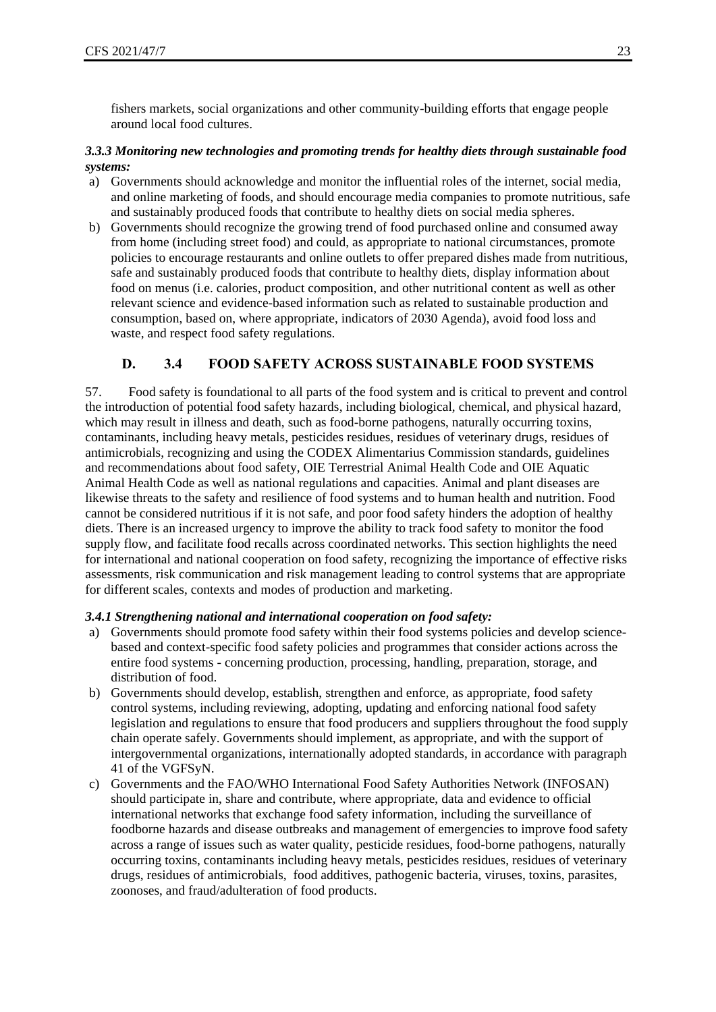fishers markets, social organizations and other community-building efforts that engage people around local food cultures.

#### <span id="page-22-0"></span>*3.3.3 Monitoring new technologies and promoting trends for healthy diets through sustainable food systems:*

- a) Governments should acknowledge and monitor the influential roles of the internet, social media, and online marketing of foods, and should encourage media companies to promote nutritious, safe and sustainably produced foods that contribute to healthy diets on social media spheres.
- b) Governments should recognize the growing trend of food purchased online and consumed away from home (including street food) and could, as appropriate to national circumstances, promote policies to encourage restaurants and online outlets to offer prepared dishes made from nutritious, safe and sustainably produced foods that contribute to healthy diets, display information about food on menus (i.e. calories, product composition, and other nutritional content as well as other relevant science and evidence-based information such as related to sustainable production and consumption, based on, where appropriate, indicators of 2030 Agenda), avoid food loss and waste, and respect food safety regulations.

# **D. 3.4 FOOD SAFETY ACROSS SUSTAINABLE FOOD SYSTEMS**

<span id="page-22-1"></span>57. Food safety is foundational to all parts of the food system and is critical to prevent and control the introduction of potential food safety hazards, including biological, chemical, and physical hazard, which may result in illness and death, such as food-borne pathogens, naturally occurring toxins, contaminants, including heavy metals, pesticides residues, residues of veterinary drugs, residues of antimicrobials, recognizing and using the CODEX Alimentarius Commission standards, guidelines and recommendations about food safety, OIE Terrestrial Animal Health Code and OIE Aquatic Animal Health Code as well as national regulations and capacities. Animal and plant diseases are likewise threats to the safety and resilience of food systems and to human health and nutrition. Food cannot be considered nutritious if it is not safe, and poor food safety hinders the adoption of healthy diets. There is an increased urgency to improve the ability to track food safety to monitor the food supply flow, and facilitate food recalls across coordinated networks. This section highlights the need for international and national cooperation on food safety, recognizing the importance of effective risks assessments, risk communication and risk management leading to control systems that are appropriate for different scales, contexts and modes of production and marketing.

#### <span id="page-22-2"></span>*3.4.1 Strengthening national and international cooperation on food safety:*

- a) Governments should promote food safety within their food systems policies and develop sciencebased and context-specific food safety policies and programmes that consider actions across the entire food systems - concerning production, processing, handling, preparation, storage, and distribution of food.
- b) Governments should develop, establish, strengthen and enforce, as appropriate, food safety control systems, including reviewing, adopting, updating and enforcing national food safety legislation and regulations to ensure that food producers and suppliers throughout the food supply chain operate safely. Governments should implement, as appropriate, and with the support of intergovernmental organizations, internationally adopted standards, in accordance with paragraph 41 of the VGFSyN.
- c) Governments and the FAO/WHO International Food Safety Authorities Network (INFOSAN) should participate in, share and contribute, where appropriate, data and evidence to official international networks that exchange food safety information, including the surveillance of foodborne hazards and disease outbreaks and management of emergencies to improve food safety across a range of issues such as water quality, pesticide residues, food-borne pathogens, naturally occurring toxins, contaminants including heavy metals, pesticides residues, residues of veterinary drugs, residues of antimicrobials, food additives, pathogenic bacteria, viruses, toxins, parasites, zoonoses, and fraud/adulteration of food products.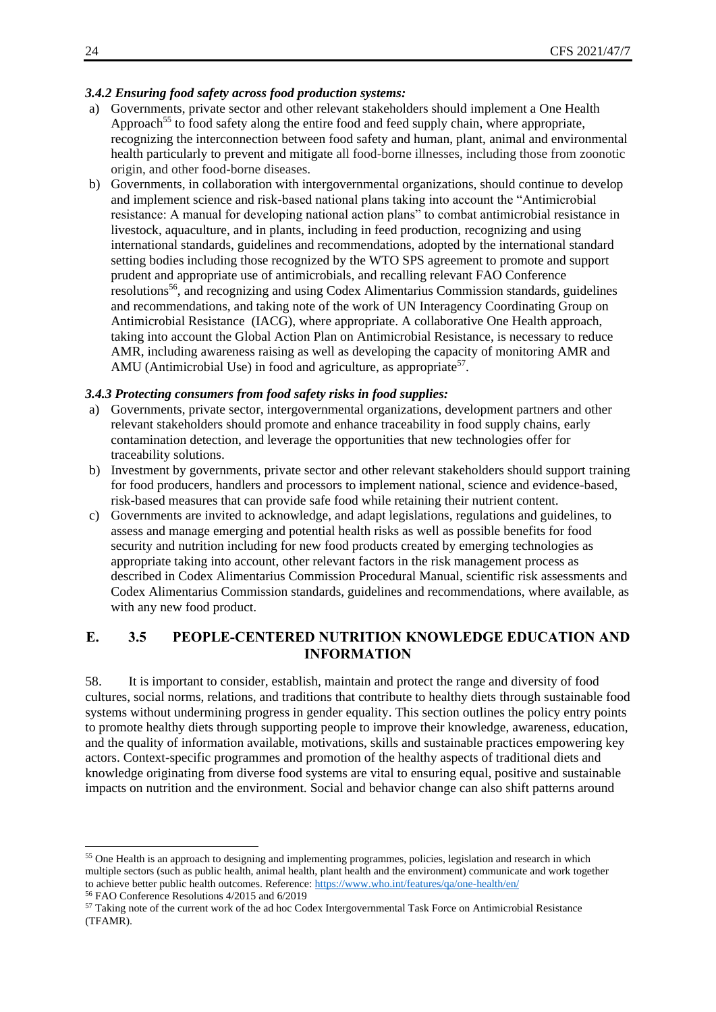#### <span id="page-23-0"></span>*3.4.2 Ensuring food safety across food production systems:*

- a) Governments, private sector and other relevant stakeholders should implement a One Health Approach<sup>55</sup> to food safety along the entire food and feed supply chain, where appropriate, recognizing the interconnection between food safety and human, plant, animal and environmental health particularly to prevent and mitigate all food-borne illnesses, including those from zoonotic origin, and other food-borne diseases.
- b) Governments, in collaboration with intergovernmental organizations, should continue to develop and implement science and risk-based national plans taking into account the "Antimicrobial resistance: A manual for developing national action plans" to combat antimicrobial resistance in livestock, aquaculture, and in plants, including in feed production, recognizing and using international standards, guidelines and recommendations, adopted by the international standard setting bodies including those recognized by the WTO SPS agreement to promote and support prudent and appropriate use of antimicrobials, and recalling relevant FAO Conference resolutions<sup>56</sup>, and recognizing and using Codex Alimentarius Commission standards, guidelines and recommendations, and taking note of the work of UN Interagency Coordinating Group on Antimicrobial Resistance (IACG), where appropriate. A collaborative One Health approach, taking into account the Global Action Plan on Antimicrobial Resistance, is necessary to reduce AMR, including awareness raising as well as developing the capacity of monitoring AMR and AMU (Antimicrobial Use) in food and agriculture, as appropriate<sup>57</sup>.

#### <span id="page-23-1"></span>*3.4.3 Protecting consumers from food safety risks in food supplies:*

- a) Governments, private sector, intergovernmental organizations, development partners and other relevant stakeholders should promote and enhance traceability in food supply chains, early contamination detection, and leverage the opportunities that new technologies offer for traceability solutions.
- b) Investment by governments, private sector and other relevant stakeholders should support training for food producers, handlers and processors to implement national, science and evidence-based, risk-based measures that can provide safe food while retaining their nutrient content.
- c) Governments are invited to acknowledge, and adapt legislations, regulations and guidelines, to assess and manage emerging and potential health risks as well as possible benefits for food security and nutrition including for new food products created by emerging technologies as appropriate taking into account, other relevant factors in the risk management process as described in Codex Alimentarius Commission Procedural Manual, scientific risk assessments and Codex Alimentarius Commission standards, guidelines and recommendations, where available, as with any new food product.

# <span id="page-23-2"></span>**E. 3.5 PEOPLE-CENTERED NUTRITION KNOWLEDGE EDUCATION AND INFORMATION**

58. It is important to consider, establish, maintain and protect the range and diversity of food cultures, social norms, relations, and traditions that contribute to healthy diets through sustainable food systems without undermining progress in gender equality. This section outlines the policy entry points to promote healthy diets through supporting people to improve their knowledge, awareness, education, and the quality of information available, motivations, skills and sustainable practices empowering key actors. Context-specific programmes and promotion of the healthy aspects of traditional diets and knowledge originating from diverse food systems are vital to ensuring equal, positive and sustainable impacts on nutrition and the environment. Social and behavior change can also shift patterns around

```
56 FAO Conference Resolutions 4/2015 and 6/2019
```
<sup>&</sup>lt;sup>55</sup> One Health is an approach to designing and implementing programmes, policies, legislation and research in which multiple sectors (such as public health, animal health, plant health and the environment) communicate and work together to achieve better public health outcomes. Reference: <https://www.who.int/features/qa/one-health/en/>

<sup>&</sup>lt;sup>57</sup> Taking note of the current work of the ad hoc Codex Intergovernmental Task Force on Antimicrobial Resistance (TFAMR).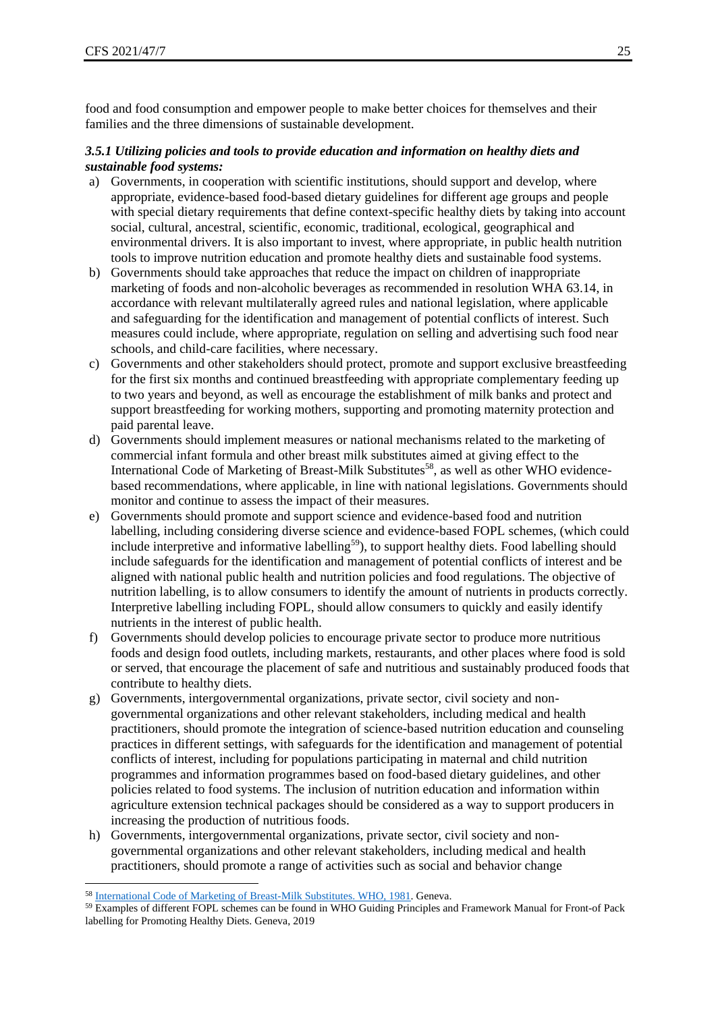food and food consumption and empower people to make better choices for themselves and their families and the three dimensions of sustainable development.

#### <span id="page-24-0"></span>*3.5.1 Utilizing policies and tools to provide education and information on healthy diets and sustainable food systems:*

- a) Governments, in cooperation with scientific institutions, should support and develop, where appropriate, evidence-based food-based dietary guidelines for different age groups and people with special dietary requirements that define context-specific healthy diets by taking into account social, cultural, ancestral, scientific, economic, traditional, ecological, geographical and environmental drivers. It is also important to invest, where appropriate, in public health nutrition tools to improve nutrition education and promote healthy diets and sustainable food systems.
- b) Governments should take approaches that reduce the impact on children of inappropriate marketing of foods and non-alcoholic beverages as recommended in resolution WHA 63.14, in accordance with relevant multilaterally agreed rules and national legislation, where applicable and safeguarding for the identification and management of potential conflicts of interest. Such measures could include, where appropriate, regulation on selling and advertising such food near schools, and child-care facilities, where necessary.
- c) Governments and other stakeholders should protect, promote and support exclusive breastfeeding for the first six months and continued breastfeeding with appropriate complementary feeding up to two years and beyond, as well as encourage the establishment of milk banks and protect and support breastfeeding for working mothers, supporting and promoting maternity protection and paid parental leave.
- d) Governments should implement measures or national mechanisms related to the marketing of commercial infant formula and other breast milk substitutes aimed at giving effect to the International Code of Marketing of Breast-Milk Substitutes<sup>58</sup>, as well as other WHO evidencebased recommendations, where applicable, in line with national legislations. Governments should monitor and continue to assess the impact of their measures.
- e) Governments should promote and support science and evidence-based food and nutrition labelling, including considering diverse science and evidence-based FOPL schemes, (which could include interpretive and informative labelling<sup>59</sup>), to support healthy diets. Food labelling should include safeguards for the identification and management of potential conflicts of interest and be aligned with national public health and nutrition policies and food regulations. The objective of nutrition labelling, is to allow consumers to identify the amount of nutrients in products correctly. Interpretive labelling including FOPL, should allow consumers to quickly and easily identify nutrients in the interest of public health.
- f) Governments should develop policies to encourage private sector to produce more nutritious foods and design food outlets, including markets, restaurants, and other places where food is sold or served, that encourage the placement of safe and nutritious and sustainably produced foods that contribute to healthy diets.
- g) Governments, intergovernmental organizations, private sector, civil society and nongovernmental organizations and other relevant stakeholders, including medical and health practitioners, should promote the integration of science-based nutrition education and counseling practices in different settings, with safeguards for the identification and management of potential conflicts of interest, including for populations participating in maternal and child nutrition programmes and information programmes based on food-based dietary guidelines, and other policies related to food systems. The inclusion of nutrition education and information within agriculture extension technical packages should be considered as a way to support producers in increasing the production of nutritious foods.
- h) Governments, intergovernmental organizations, private sector, civil society and nongovernmental organizations and other relevant stakeholders, including medical and health practitioners, should promote a range of activities such as social and behavior change

<sup>58</sup> [International Code of Marketing of Breast-Milk Substitutes. WHO, 1981.](https://www.who.int/nutrition/publications/code_english.pdf) Geneva.

<sup>59</sup> Examples of different FOPL schemes can be found in WHO Guiding Principles and Framework Manual for Front-of Pack labelling for Promoting Healthy Diets. Geneva, 2019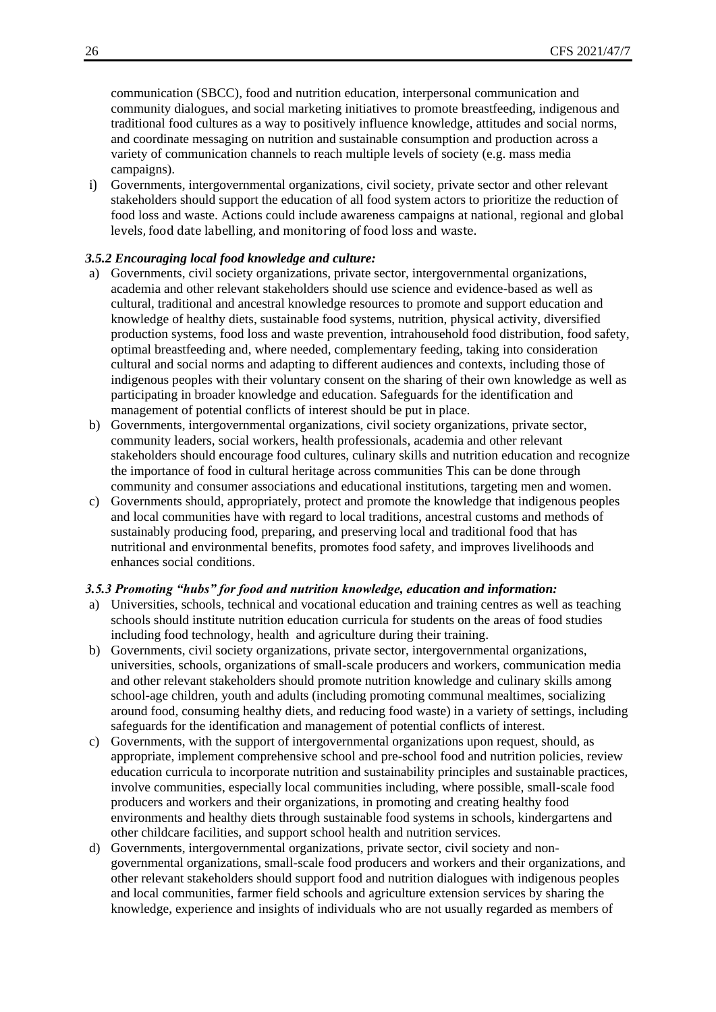communication (SBCC), food and nutrition education, interpersonal communication and community dialogues, and social marketing initiatives to promote breastfeeding, indigenous and traditional food cultures as a way to positively influence knowledge, attitudes and social norms, and coordinate messaging on nutrition and sustainable consumption and production across a variety of communication channels to reach multiple levels of society (e.g. mass media campaigns).

i) Governments, intergovernmental organizations, civil society, private sector and other relevant stakeholders should support the education of all food system actors to prioritize the reduction of food loss and waste. Actions could include awareness campaigns at national, regional and global levels, food date labelling, and monitoring of food loss and waste.

#### <span id="page-25-0"></span>*3.5.2 Encouraging local food knowledge and culture:*

- a) Governments, civil society organizations, private sector, intergovernmental organizations, academia and other relevant stakeholders should use science and evidence-based as well as cultural, traditional and ancestral knowledge resources to promote and support education and knowledge of healthy diets, sustainable food systems, nutrition, physical activity, diversified production systems, food loss and waste prevention, intrahousehold food distribution, food safety, optimal breastfeeding and, where needed, complementary feeding, taking into consideration cultural and social norms and adapting to different audiences and contexts, including those of indigenous peoples with their voluntary consent on the sharing of their own knowledge as well as participating in broader knowledge and education. Safeguards for the identification and management of potential conflicts of interest should be put in place.
- b) Governments, intergovernmental organizations, civil society organizations, private sector, community leaders, social workers, health professionals, academia and other relevant stakeholders should encourage food cultures, culinary skills and nutrition education and recognize the importance of food in cultural heritage across communities This can be done through community and consumer associations and educational institutions, targeting men and women.
- c) Governments should, appropriately, protect and promote the knowledge that indigenous peoples and local communities have with regard to local traditions, ancestral customs and methods of sustainably producing food, preparing, and preserving local and traditional food that has nutritional and environmental benefits, promotes food safety, and improves livelihoods and enhances social conditions.

#### <span id="page-25-1"></span>*3.5.3 Promoting "hubs" for food and nutrition knowledge, education and information:*

- a) Universities, schools, technical and vocational education and training centres as well as teaching schools should institute nutrition education curricula for students on the areas of food studies including food technology, health and agriculture during their training.
- b) Governments, civil society organizations, private sector, intergovernmental organizations, universities, schools, organizations of small-scale producers and workers, communication media and other relevant stakeholders should promote nutrition knowledge and culinary skills among school-age children, youth and adults (including promoting communal mealtimes, socializing around food, consuming healthy diets, and reducing food waste) in a variety of settings, including safeguards for the identification and management of potential conflicts of interest.
- c) Governments, with the support of intergovernmental organizations upon request, should, as appropriate, implement comprehensive school and pre-school food and nutrition policies, review education curricula to incorporate nutrition and sustainability principles and sustainable practices, involve communities, especially local communities including, where possible, small-scale food producers and workers and their organizations, in promoting and creating healthy food environments and healthy diets through sustainable food systems in schools, kindergartens and other childcare facilities, and support school health and nutrition services.
- d) Governments, intergovernmental organizations, private sector, civil society and nongovernmental organizations, small-scale food producers and workers and their organizations, and other relevant stakeholders should support food and nutrition dialogues with indigenous peoples and local communities, farmer field schools and agriculture extension services by sharing the knowledge, experience and insights of individuals who are not usually regarded as members of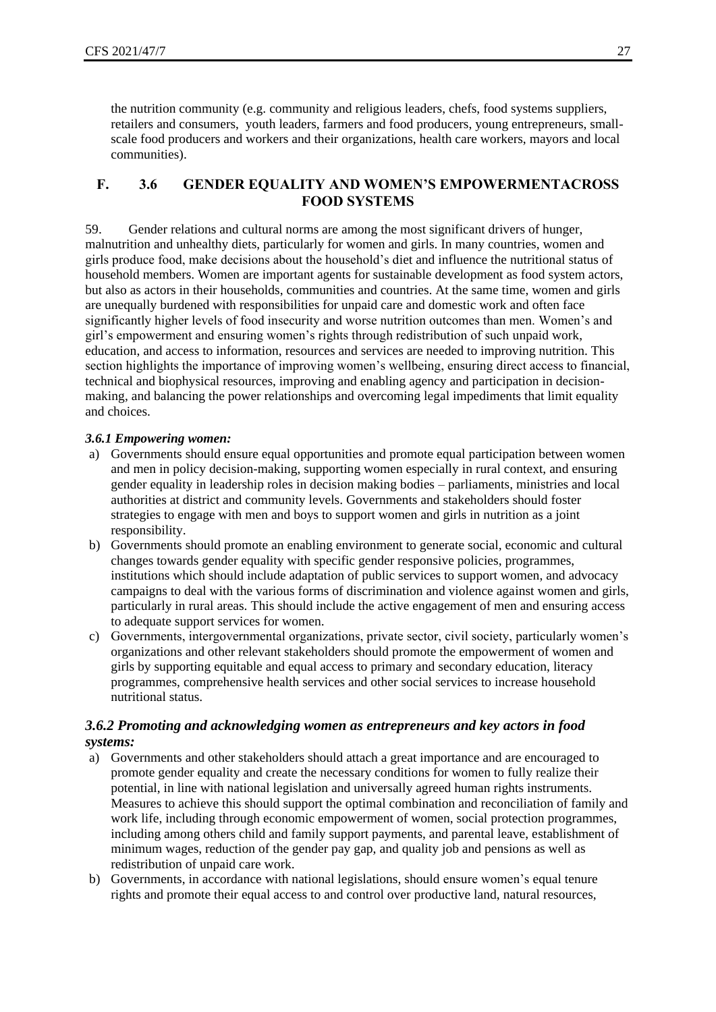the nutrition community (e.g. community and religious leaders, chefs, food systems suppliers, retailers and consumers, youth leaders, farmers and food producers, young entrepreneurs, smallscale food producers and workers and their organizations, health care workers, mayors and local communities).

## <span id="page-26-0"></span>**F. 3.6 GENDER EQUALITY AND WOMEN'S EMPOWERMENTACROSS FOOD SYSTEMS**

59. Gender relations and cultural norms are among the most significant drivers of hunger, malnutrition and unhealthy diets, particularly for women and girls. In many countries, women and girls produce food, make decisions about the household's diet and influence the nutritional status of household members. Women are important agents for sustainable development as food system actors, but also as actors in their households, communities and countries. At the same time, women and girls are unequally burdened with responsibilities for unpaid care and domestic work and often face significantly higher levels of food insecurity and worse nutrition outcomes than men. Women's and girl's empowerment and ensuring women's rights through redistribution of such unpaid work, education, and access to information, resources and services are needed to improving nutrition. This section highlights the importance of improving women's wellbeing, ensuring direct access to financial, technical and biophysical resources, improving and enabling agency and participation in decisionmaking, and balancing the power relationships and overcoming legal impediments that limit equality and choices.

#### <span id="page-26-1"></span>*3.6.1 Empowering women:*

- a) Governments should ensure equal opportunities and promote equal participation between women and men in policy decision-making, supporting women especially in rural context, and ensuring gender equality in leadership roles in decision making bodies – parliaments, ministries and local authorities at district and community levels. Governments and stakeholders should foster strategies to engage with men and boys to support women and girls in nutrition as a joint responsibility.
- b) Governments should promote an enabling environment to generate social, economic and cultural changes towards gender equality with specific gender responsive policies, programmes, institutions which should include adaptation of public services to support women, and advocacy campaigns to deal with the various forms of discrimination and violence against women and girls, particularly in rural areas. This should include the active engagement of men and ensuring access to adequate support services for women.
- c) Governments, intergovernmental organizations, private sector, civil society, particularly women's organizations and other relevant stakeholders should promote the empowerment of women and girls by supporting equitable and equal access to primary and secondary education, literacy programmes, comprehensive health services and other social services to increase household nutritional status.

#### <span id="page-26-2"></span>*3.6.2 Promoting and acknowledging women as entrepreneurs and key actors in food systems:*

- a) Governments and other stakeholders should attach a great importance and are encouraged to promote gender equality and create the necessary conditions for women to fully realize their potential, in line with national legislation and universally agreed human rights instruments. Measures to achieve this should support the optimal combination and reconciliation of family and work life, including through economic empowerment of women, social protection programmes, including among others child and family support payments, and parental leave, establishment of minimum wages, reduction of the gender pay gap, and quality job and pensions as well as redistribution of unpaid care work.
- b) Governments, in accordance with national legislations, should ensure women's equal tenure rights and promote their equal access to and control over productive land, natural resources,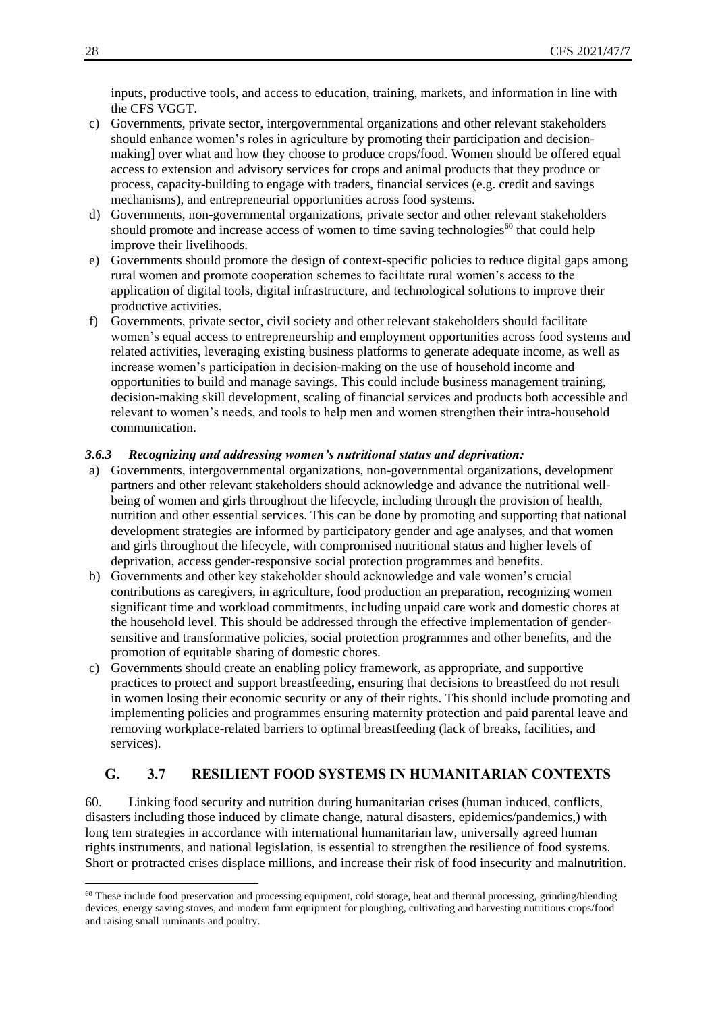inputs, productive tools, and access to education, training, markets, and information in line with the CFS VGGT.

- c) Governments, private sector, intergovernmental organizations and other relevant stakeholders should enhance women's roles in agriculture by promoting their participation and decisionmaking] over what and how they choose to produce crops/food. Women should be offered equal access to extension and advisory services for crops and animal products that they produce or process, capacity-building to engage with traders, financial services (e.g. credit and savings mechanisms), and entrepreneurial opportunities across food systems.
- d) Governments, non-governmental organizations, private sector and other relevant stakeholders should promote and increase access of women to time saving technologies $^{60}$  that could help improve their livelihoods.
- e) Governments should promote the design of context-specific policies to reduce digital gaps among rural women and promote cooperation schemes to facilitate rural women's access to the application of digital tools, digital infrastructure, and technological solutions to improve their productive activities.
- f) Governments, private sector, civil society and other relevant stakeholders should facilitate women's equal access to entrepreneurship and employment opportunities across food systems and related activities, leveraging existing business platforms to generate adequate income, as well as increase women's participation in decision-making on the use of household income and opportunities to build and manage savings. This could include business management training, decision-making skill development, scaling of financial services and products both accessible and relevant to women's needs, and tools to help men and women strengthen their intra-household communication.

#### <span id="page-27-0"></span>*3.6.3 Recognizing and addressing women's nutritional status and deprivation:*

- a) Governments, intergovernmental organizations, non-governmental organizations, development partners and other relevant stakeholders should acknowledge and advance the nutritional wellbeing of women and girls throughout the lifecycle, including through the provision of health, nutrition and other essential services. This can be done by promoting and supporting that national development strategies are informed by participatory gender and age analyses, and that women and girls throughout the lifecycle, with compromised nutritional status and higher levels of deprivation, access gender-responsive social protection programmes and benefits.
- b) Governments and other key stakeholder should acknowledge and vale women's crucial contributions as caregivers, in agriculture, food production an preparation, recognizing women significant time and workload commitments, including unpaid care work and domestic chores at the household level. This should be addressed through the effective implementation of gendersensitive and transformative policies, social protection programmes and other benefits, and the promotion of equitable sharing of domestic chores.
- c) Governments should create an enabling policy framework, as appropriate, and supportive practices to protect and support breastfeeding, ensuring that decisions to breastfeed do not result in women losing their economic security or any of their rights. This should include promoting and implementing policies and programmes ensuring maternity protection and paid parental leave and removing workplace-related barriers to optimal breastfeeding (lack of breaks, facilities, and services).

# <span id="page-27-1"></span>**G. 3.7 RESILIENT FOOD SYSTEMS IN HUMANITARIAN CONTEXTS**

60. Linking food security and nutrition during humanitarian crises (human induced, conflicts, disasters including those induced by climate change, natural disasters, epidemics/pandemics,) with long tem strategies in accordance with international humanitarian law, universally agreed human rights instruments, and national legislation, is essential to strengthen the resilience of food systems. Short or protracted crises displace millions, and increase their risk of food insecurity and malnutrition.

 $60$  These include food preservation and processing equipment, cold storage, heat and thermal processing, grinding/blending devices, energy saving stoves, and modern farm equipment for ploughing, cultivating and harvesting nutritious crops/food and raising small ruminants and poultry.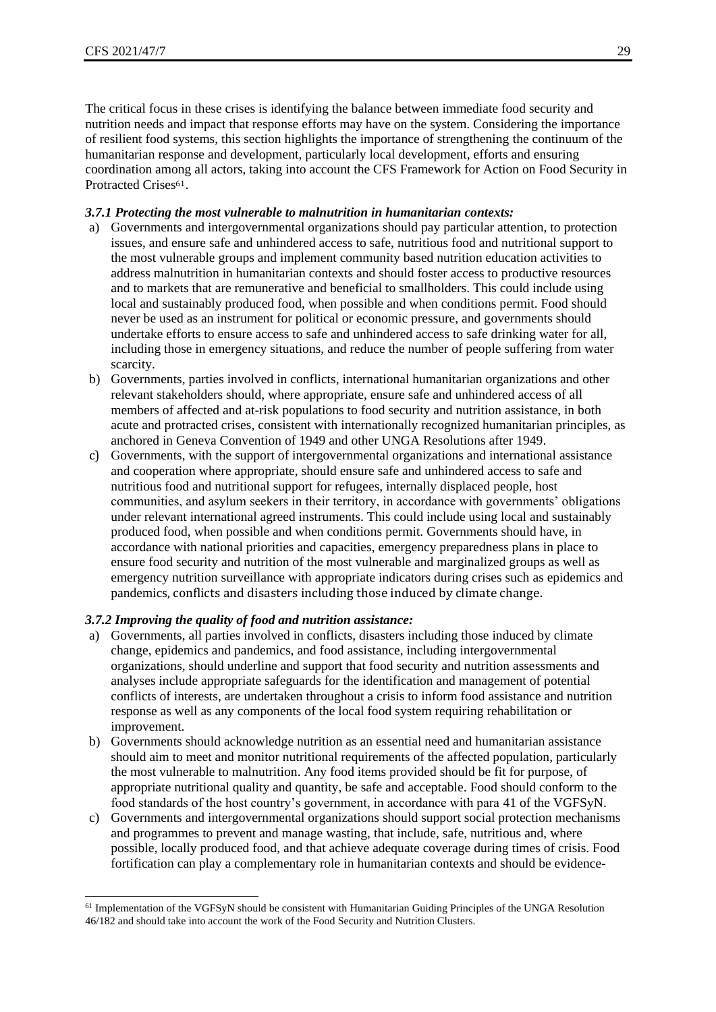The critical focus in these crises is identifying the balance between immediate food security and nutrition needs and impact that response efforts may have on the system. Considering the importance of resilient food systems, this section highlights the importance of strengthening the continuum of the humanitarian response and development, particularly local development, efforts and ensuring coordination among all actors, taking into account the CFS Framework for Action on Food Security in Protracted Crises<sup>61</sup>.

#### <span id="page-28-0"></span>*3.7.1 Protecting the most vulnerable to malnutrition in humanitarian contexts:*

- a) Governments and intergovernmental organizations should pay particular attention, to protection issues, and ensure safe and unhindered access to safe, nutritious food and nutritional support to the most vulnerable groups and implement community based nutrition education activities to address malnutrition in humanitarian contexts and should foster access to productive resources and to markets that are remunerative and beneficial to smallholders. This could include using local and sustainably produced food, when possible and when conditions permit. Food should never be used as an instrument for political or economic pressure, and governments should undertake efforts to ensure access to safe and unhindered access to safe drinking water for all, including those in emergency situations, and reduce the number of people suffering from water scarcity.
- b) Governments, parties involved in conflicts, international humanitarian organizations and other relevant stakeholders should, where appropriate, ensure safe and unhindered access of all members of affected and at-risk populations to food security and nutrition assistance, in both acute and protracted crises, consistent with internationally recognized humanitarian principles, as anchored in Geneva Convention of 1949 and other UNGA Resolutions after 1949.
- c) Governments, with the support of intergovernmental organizations and international assistance and cooperation where appropriate, should ensure safe and unhindered access to safe and nutritious food and nutritional support for refugees, internally displaced people, host communities, and asylum seekers in their territory, in accordance with governments' obligations under relevant international agreed instruments. This could include using local and sustainably produced food, when possible and when conditions permit. Governments should have, in accordance with national priorities and capacities, emergency preparedness plans in place to ensure food security and nutrition of the most vulnerable and marginalized groups as well as emergency nutrition surveillance with appropriate indicators during crises such as epidemics and pandemics, conflicts and disasters including those induced by climate change.

#### <span id="page-28-1"></span>*3.7.2 Improving the quality of food and nutrition assistance:*

- a) Governments, all parties involved in conflicts, disasters including those induced by climate change, epidemics and pandemics, and food assistance, including intergovernmental organizations, should underline and support that food security and nutrition assessments and analyses include appropriate safeguards for the identification and management of potential conflicts of interests, are undertaken throughout a crisis to inform food assistance and nutrition response as well as any components of the local food system requiring rehabilitation or improvement.
- b) Governments should acknowledge nutrition as an essential need and humanitarian assistance should aim to meet and monitor nutritional requirements of the affected population, particularly the most vulnerable to malnutrition. Any food items provided should be fit for purpose, of appropriate nutritional quality and quantity, be safe and acceptable. Food should conform to the food standards of the host country's government, in accordance with para 41 of the VGFSyN.
- c) Governments and intergovernmental organizations should support social protection mechanisms and programmes to prevent and manage wasting, that include, safe, nutritious and, where possible, locally produced food, and that achieve adequate coverage during times of crisis. Food fortification can play a complementary role in humanitarian contexts and should be evidence-

<sup>61</sup> Implementation of the VGFSyN should be consistent with Humanitarian Guiding Principles of the UNGA Resolution 46/182 and should take into account the work of the Food Security and Nutrition Clusters.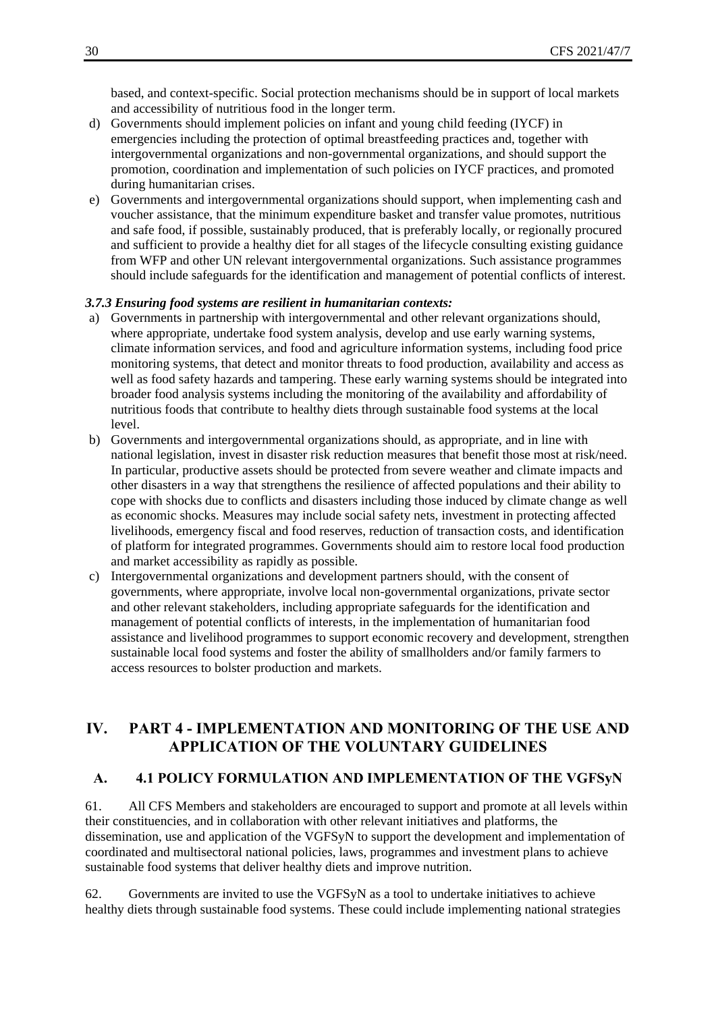based, and context-specific. Social protection mechanisms should be in support of local markets and accessibility of nutritious food in the longer term.

- d) Governments should implement policies on infant and young child feeding (IYCF) in emergencies including the protection of optimal breastfeeding practices and, together with intergovernmental organizations and non-governmental organizations, and should support the promotion, coordination and implementation of such policies on IYCF practices, and promoted during humanitarian crises.
- e) Governments and intergovernmental organizations should support, when implementing cash and voucher assistance, that the minimum expenditure basket and transfer value promotes, nutritious and safe food, if possible, sustainably produced, that is preferably locally, or regionally procured and sufficient to provide a healthy diet for all stages of the lifecycle consulting existing guidance from WFP and other UN relevant intergovernmental organizations. Such assistance programmes should include safeguards for the identification and management of potential conflicts of interest.

#### <span id="page-29-0"></span>*3.7.3 Ensuring food systems are resilient in humanitarian contexts:*

- a) Governments in partnership with intergovernmental and other relevant organizations should, where appropriate, undertake food system analysis, develop and use early warning systems, climate information services, and food and agriculture information systems, including food price monitoring systems, that detect and monitor threats to food production, availability and access as well as food safety hazards and tampering. These early warning systems should be integrated into broader food analysis systems including the monitoring of the availability and affordability of nutritious foods that contribute to healthy diets through sustainable food systems at the local level.
- b) Governments and intergovernmental organizations should, as appropriate, and in line with national legislation, invest in disaster risk reduction measures that benefit those most at risk/need. In particular, productive assets should be protected from severe weather and climate impacts and other disasters in a way that strengthens the resilience of affected populations and their ability to cope with shocks due to conflicts and disasters including those induced by climate change as well as economic shocks. Measures may include social safety nets, investment in protecting affected livelihoods, emergency fiscal and food reserves, reduction of transaction costs, and identification of platform for integrated programmes. Governments should aim to restore local food production and market accessibility as rapidly as possible.
- c) Intergovernmental organizations and development partners should, with the consent of governments, where appropriate, involve local non-governmental organizations, private sector and other relevant stakeholders, including appropriate safeguards for the identification and management of potential conflicts of interests, in the implementation of humanitarian food assistance and livelihood programmes to support economic recovery and development, strengthen sustainable local food systems and foster the ability of smallholders and/or family farmers to access resources to bolster production and markets.

# <span id="page-29-1"></span>**IV. PART 4 - IMPLEMENTATION AND MONITORING OF THE USE AND APPLICATION OF THE VOLUNTARY GUIDELINES**

#### <span id="page-29-2"></span>**A. 4.1 POLICY FORMULATION AND IMPLEMENTATION OF THE VGFSyN**

61. All CFS Members and stakeholders are encouraged to support and promote at all levels within their constituencies, and in collaboration with other relevant initiatives and platforms, the dissemination, use and application of the VGFSyN to support the development and implementation of coordinated and multisectoral national policies, laws, programmes and investment plans to achieve sustainable food systems that deliver healthy diets and improve nutrition.

62. Governments are invited to use the VGFSyN as a tool to undertake initiatives to achieve healthy diets through sustainable food systems. These could include implementing national strategies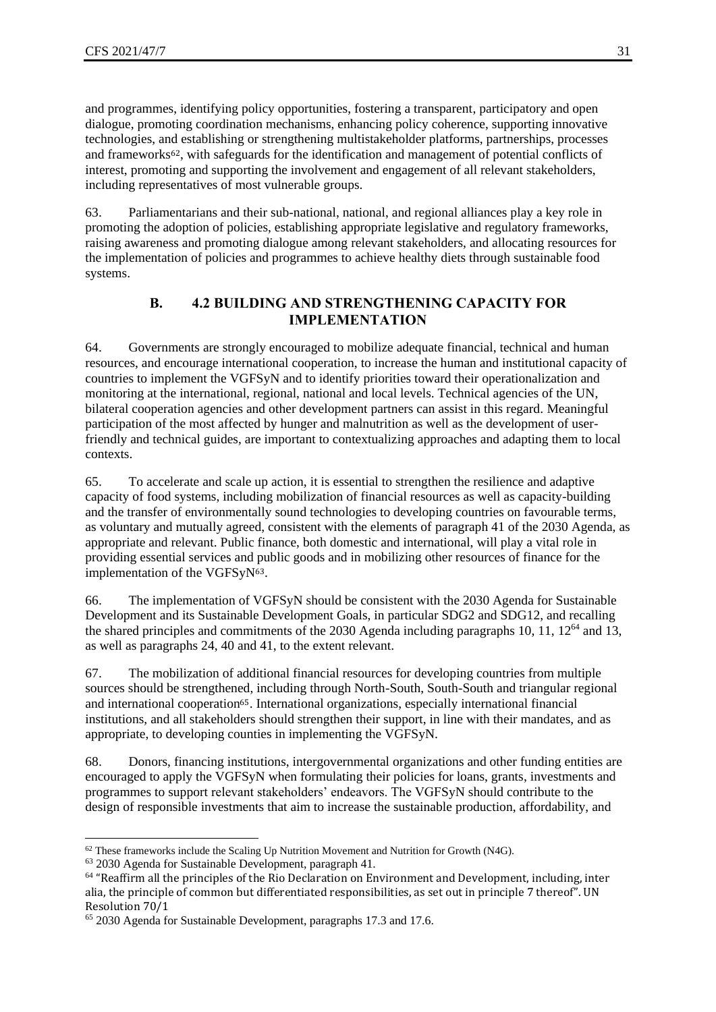and programmes, identifying policy opportunities, fostering a transparent, participatory and open dialogue, promoting coordination mechanisms, enhancing policy coherence, supporting innovative technologies, and establishing or strengthening multistakeholder platforms, partnerships, processes and frameworks62, with safeguards for the identification and management of potential conflicts of interest, promoting and supporting the involvement and engagement of all relevant stakeholders, including representatives of most vulnerable groups.

63. Parliamentarians and their sub-national, national, and regional alliances play a key role in promoting the adoption of policies, establishing appropriate legislative and regulatory frameworks, raising awareness and promoting dialogue among relevant stakeholders, and allocating resources for the implementation of policies and programmes to achieve healthy diets through sustainable food systems.

## **B. 4.2 BUILDING AND STRENGTHENING CAPACITY FOR IMPLEMENTATION**

<span id="page-30-0"></span>64. Governments are strongly encouraged to mobilize adequate financial, technical and human resources, and encourage international cooperation, to increase the human and institutional capacity of countries to implement the VGFSyN and to identify priorities toward their operationalization and monitoring at the international, regional, national and local levels. Technical agencies of the UN, bilateral cooperation agencies and other development partners can assist in this regard. Meaningful participation of the most affected by hunger and malnutrition as well as the development of userfriendly and technical guides, are important to contextualizing approaches and adapting them to local contexts.

65. To accelerate and scale up action, it is essential to strengthen the resilience and adaptive capacity of food systems, including mobilization of financial resources as well as capacity-building and the transfer of environmentally sound technologies to developing countries on favourable terms, as voluntary and mutually agreed, consistent with the elements of paragraph 41 of the 2030 Agenda, as appropriate and relevant. Public finance, both domestic and international, will play a vital role in providing essential services and public goods and in mobilizing other resources of finance for the implementation of the VGFSyN63.

66. The implementation of VGFSyN should be consistent with the 2030 Agenda for Sustainable Development and its Sustainable Development Goals, in particular SDG2 and SDG12, and recalling the shared principles and commitments of the 2030 Agenda including paragraphs 10, 11,  $12^{64}$  and 13, as well as paragraphs 24, 40 and 41, to the extent relevant.

67. The mobilization of additional financial resources for developing countries from multiple sources should be strengthened, including through North-South, South-South and triangular regional and international cooperation65. International organizations, especially international financial institutions, and all stakeholders should strengthen their support, in line with their mandates, and as appropriate, to developing counties in implementing the VGFSyN.

68. Donors, financing institutions, intergovernmental organizations and other funding entities are encouraged to apply the VGFSyN when formulating their policies for loans, grants, investments and programmes to support relevant stakeholders' endeavors. The VGFSyN should contribute to the design of responsible investments that aim to increase the sustainable production, affordability, and

 $62$  These frameworks include the Scaling Up Nutrition Movement and Nutrition for Growth (N4G).

<sup>63</sup> 2030 Agenda for Sustainable Development, paragraph 41.

 $64$  "Reaffirm all the principles of the Rio Declaration on Environment and Development, including, inter alia, the principle of common but differentiated responsibilities, as set out in principle 7 thereof". UN Resolution 70/1

<sup>65</sup> 2030 Agenda for Sustainable Development, paragraphs 17.3 and 17.6.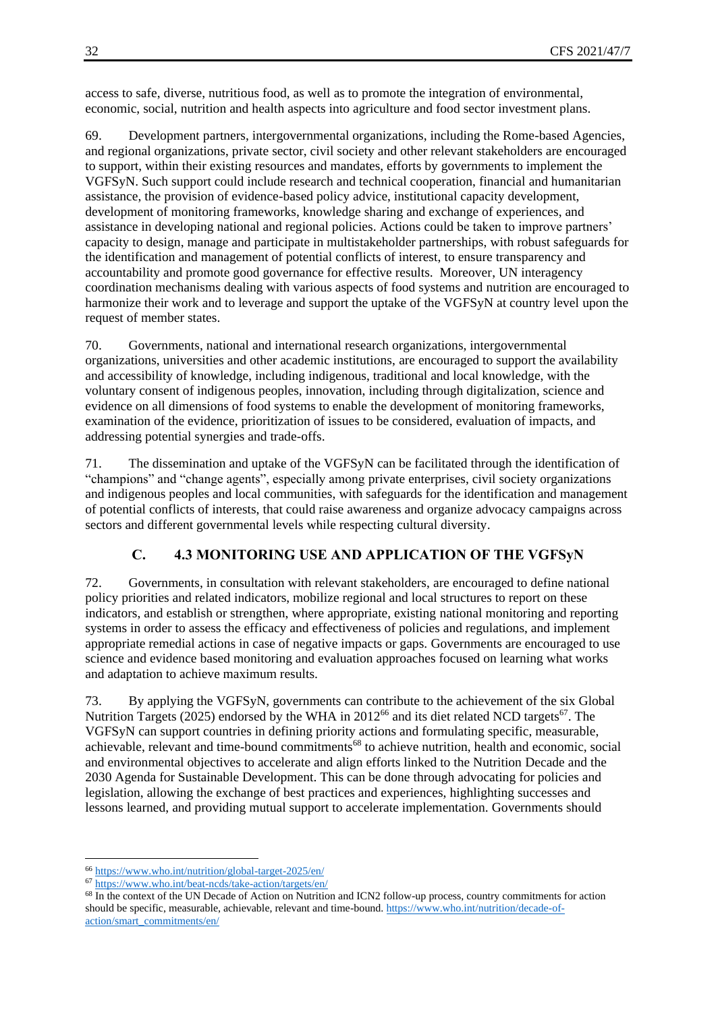access to safe, diverse, nutritious food, as well as to promote the integration of environmental, economic, social, nutrition and health aspects into agriculture and food sector investment plans.

69. Development partners, intergovernmental organizations, including the Rome-based Agencies, and regional organizations, private sector, civil society and other relevant stakeholders are encouraged to support, within their existing resources and mandates, efforts by governments to implement the VGFSyN. Such support could include research and technical cooperation, financial and humanitarian assistance, the provision of evidence-based policy advice, institutional capacity development, development of monitoring frameworks, knowledge sharing and exchange of experiences, and assistance in developing national and regional policies. Actions could be taken to improve partners' capacity to design, manage and participate in multistakeholder partnerships, with robust safeguards for the identification and management of potential conflicts of interest, to ensure transparency and accountability and promote good governance for effective results. Moreover, UN interagency coordination mechanisms dealing with various aspects of food systems and nutrition are encouraged to harmonize their work and to leverage and support the uptake of the VGFSyN at country level upon the request of member states.

70. Governments, national and international research organizations, intergovernmental organizations, universities and other academic institutions, are encouraged to support the availability and accessibility of knowledge, including indigenous, traditional and local knowledge, with the voluntary consent of indigenous peoples, innovation, including through digitalization, science and evidence on all dimensions of food systems to enable the development of monitoring frameworks, examination of the evidence, prioritization of issues to be considered, evaluation of impacts, and addressing potential synergies and trade-offs.

71. The dissemination and uptake of the VGFSyN can be facilitated through the identification of "champions" and "change agents", especially among private enterprises, civil society organizations and indigenous peoples and local communities, with safeguards for the identification and management of potential conflicts of interests, that could raise awareness and organize advocacy campaigns across sectors and different governmental levels while respecting cultural diversity.

# **C. 4.3 MONITORING USE AND APPLICATION OF THE VGFSyN**

<span id="page-31-0"></span>72. Governments, in consultation with relevant stakeholders, are encouraged to define national policy priorities and related indicators, mobilize regional and local structures to report on these indicators, and establish or strengthen, where appropriate, existing national monitoring and reporting systems in order to assess the efficacy and effectiveness of policies and regulations, and implement appropriate remedial actions in case of negative impacts or gaps. Governments are encouraged to use science and evidence based monitoring and evaluation approaches focused on learning what works and adaptation to achieve maximum results.

73. By applying the VGFSyN, governments can contribute to the achievement of the six Global Nutrition Targets (2025) endorsed by the WHA in  $2012^{66}$  and its diet related NCD targets<sup>67</sup>. The VGFSyN can support countries in defining priority actions and formulating specific, measurable, achievable, relevant and time-bound commitments<sup>68</sup> to achieve nutrition, health and economic, social and environmental objectives to accelerate and align efforts linked to the Nutrition Decade and the 2030 Agenda for Sustainable Development. This can be done through advocating for policies and legislation, allowing the exchange of best practices and experiences, highlighting successes and lessons learned, and providing mutual support to accelerate implementation. Governments should

<sup>66</sup> <https://www.who.int/nutrition/global-target-2025/en/>

<sup>67</sup> <https://www.who.int/beat-ncds/take-action/targets/en/>

<sup>&</sup>lt;sup>68</sup> In the context of the UN Decade of Action on Nutrition and ICN2 follow-up process, country commitments for action should be specific, measurable, achievable, relevant and time-bound[. https://www.who.int/nutrition/decade-of](https://www.who.int/nutrition/decade-of-action/smart_commitments/en/)[action/smart\\_commitments/en/](https://www.who.int/nutrition/decade-of-action/smart_commitments/en/)